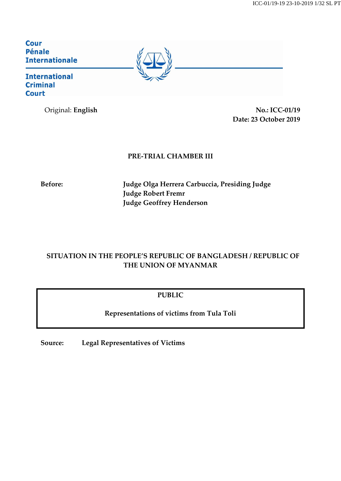Cour **Pénale Internationale** 

### **International Criminal Court**

Original: **English No.: ICC-01/19 Date: 23 October 2019**

### **PRE-TRIAL CHAMBER III**

**Before: Judge Olga Herrera Carbuccia, Presiding Judge Judge Robert Fremr Judge Geoffrey Henderson**

## **SITUATION IN THE PEOPLE'S REPUBLIC OF BANGLADESH / REPUBLIC OF THE UNION OF MYANMAR**

### **PUBLIC**

**Representations of victims from Tula Toli**

**Source: Legal Representatives of Victims**

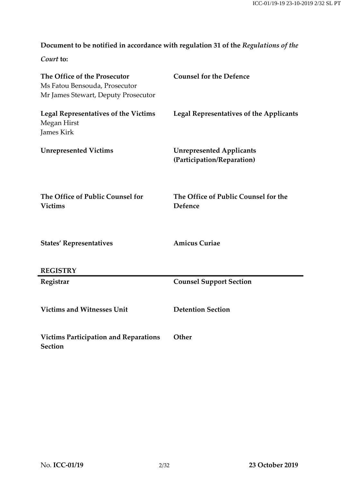# **Document to be notified in accordance with regulation 31 of the** *Regulations of the*

*Court* **to:**

| The Office of the Prosecutor<br>Ms Fatou Bensouda, Prosecutor<br>Mr James Stewart, Deputy Prosecutor | <b>Counsel for the Defence</b>                                |
|------------------------------------------------------------------------------------------------------|---------------------------------------------------------------|
| <b>Legal Representatives of the Victims</b><br>Megan Hirst<br>James Kirk                             | <b>Legal Representatives of the Applicants</b>                |
| <b>Unrepresented Victims</b>                                                                         | <b>Unrepresented Applicants</b><br>(Participation/Reparation) |
| The Office of Public Counsel for<br><b>Victims</b>                                                   | The Office of Public Counsel for the<br>Defence               |
| <b>States' Representatives</b>                                                                       | <b>Amicus Curiae</b>                                          |
| <b>REGISTRY</b>                                                                                      |                                                               |
| Registrar                                                                                            | <b>Counsel Support Section</b>                                |
| <b>Victims and Witnesses Unit</b>                                                                    | <b>Detention Section</b>                                      |
| <b>Victims Participation and Reparations</b><br><b>Section</b>                                       | Other                                                         |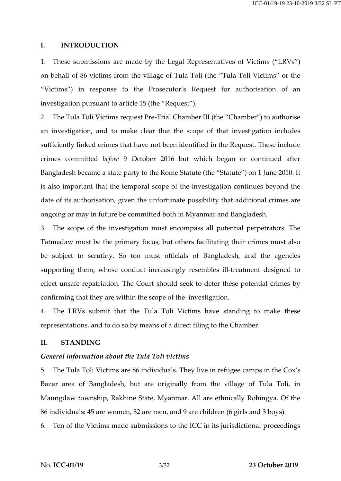#### **I. INTRODUCTION**

1. These submissions are made by the Legal Representatives of Victims ("LRVs") on behalf of 86 victims from the village of Tula Toli (the "Tula Toli Victims" or the "Victims") in response to the Prosecutor's Request for authorisation of an investigation pursuant to article 15 (the "Request").

2. The Tula Toli Victims request Pre-Trial Chamber III (the "Chamber") to authorise an investigation, and to make clear that the scope of that investigation includes sufficiently linked crimes that have not been identified in the Request. These include crimes committed *before* 9 October 2016 but which began or continued after Bangladesh became a state party to the Rome Statute (the "Statute") on 1 June 2010. It is also important that the temporal scope of the investigation continues beyond the date of its authorisation, given the unfortunate possibility that additional crimes are ongoing or may in future be committed both in Myanmar and Bangladesh.

3. The scope of the investigation must encompass all potential perpetrators. The Tatmadaw must be the primary focus, but others facilitating their crimes must also be subject to scrutiny. So too must officials of Bangladesh, and the agencies supporting them, whose conduct increasingly resembles ill-treatment designed to effect unsafe repatriation. The Court should seek to deter these potential crimes by confirming that they are within the scope of the investigation.

4. The LRVs submit that the Tula Toli Victims have standing to make these representations, and to do so by means of a direct filing to the Chamber.

#### **II. STANDING**

#### *General information about the Tula Toli victims*

5. The Tula Toli Victims are 86 individuals. They live in refugee camps in the Cox's Bazar area of Bangladesh, but are originally from the village of Tula Toli, in Maungdaw township, Rakhine State, Myanmar. All are ethnically Rohingya. Of the 86 individuals: 45 are women, 32 are men, and 9 are children (6 girls and 3 boys).

6. Ten of the Victims made submissions to the ICC in its jurisdictional proceedings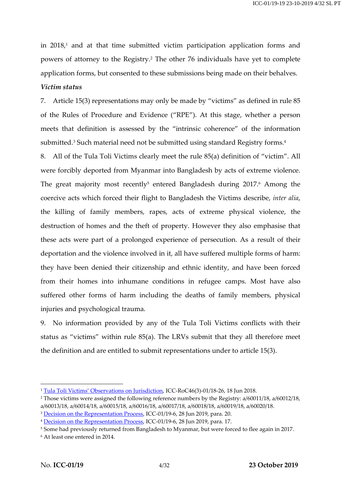in  $2018<sub>i</sub>$  and at that time submitted victim participation application forms and powers of attorney to the Registry. <sup>2</sup> The other 76 individuals have yet to complete application forms, but consented to these submissions being made on their behalves.

### *Victim status*

7. Article 15(3) representations may only be made by "victims" as defined in rule 85 of the Rules of Procedure and Evidence ("RPE"). At this stage, whether a person meets that definition is assessed by the "intrinsic coherence" of the information submitted.<sup>3</sup> Such material need not be submitted using standard Registry forms.<sup>4</sup>

8. All of the Tula Toli Victims clearly meet the rule 85(a) definition of "victim". All were forcibly deported from Myanmar into Bangladesh by acts of extreme violence. The great majority most recently $^5$  entered Bangladesh during 2017. $^6$  Among the coercive acts which forced their flight to Bangladesh the Victims describe, *inter alia*, the killing of family members, rapes, acts of extreme physical violence, the destruction of homes and the theft of property. However they also emphasise that these acts were part of a prolonged experience of persecution. As a result of their deportation and the violence involved in it, all have suffered multiple forms of harm: they have been denied their citizenship and ethnic identity, and have been forced from their homes into inhumane conditions in refugee camps. Most have also suffered other forms of harm including the deaths of family members, physical injuries and psychological trauma.

9. No information provided by any of the Tula Toli Victims conflicts with their status as "victims" within rule 85(a). The LRVs submit that they all therefore meet the definition and are entitled to submit representations under to article 15(3).

<sup>1</sup> [Tula Toli Victims' Observations on Jurisdiction](https://www.icc-cpi.int/CourtRecords/CR2018_03132.PDF), ICC-RoC46(3)-01/18-26, 18 Jun 2018.

<sup>2</sup> Those victims were assigned the following reference numbers by the Registry: a/60011/18, a/60012/18, a/60013/18, a/60014/18, a/60015/18, a/60016/18, a/60017/18, a/60018/18, a/60019/18, a/60020/18.

<sup>&</sup>lt;sup>3</sup> [Decision on the Representation Process,](https://www.legal-tools.org/doc/a26ad1/pdf) ICC-01/19-6, 28 Jun 2019, para. 20.

<sup>4</sup> [Decision on the Representation Process,](https://www.legal-tools.org/doc/a26ad1/pdf) ICC-01/19-6, 28 Jun 2019, para. 17.

<sup>&</sup>lt;sup>5</sup> Some had previously returned from Bangladesh to Myanmar, but were forced to flee again in 2017.

<sup>6</sup> At least one entered in 2014.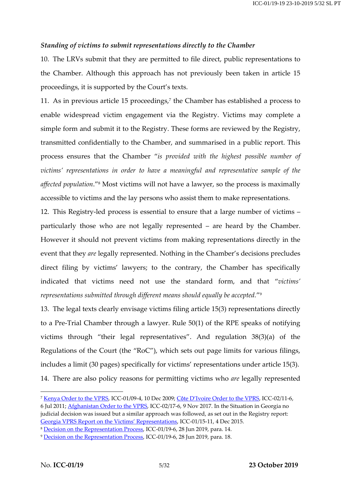#### *Standing of victims to submit representations directly to the Chamber*

10. The LRVs submit that they are permitted to file direct, public representations to the Chamber. Although this approach has not previously been taken in article 15 proceedings, it is supported by the Court's texts.

11. As in previous article 15 proceedings,<sup>7</sup> the Chamber has established a process to enable widespread victim engagement via the Registry. Victims may complete a simple form and submit it to the Registry. These forms are reviewed by the Registry, transmitted confidentially to the Chamber, and summarised in a public report. This process ensures that the Chamber "*is provided with the highest possible number of victims' representations in order to have a meaningful and representative sample of the affected population*."<sup>8</sup> Most victims will not have a lawyer, so the process is maximally accessible to victims and the lay persons who assist them to make representations.

12. This Registry-led process is essential to ensure that a large number of victims – particularly those who are not legally represented – are heard by the Chamber. However it should not prevent victims from making representations directly in the event that they *are* legally represented. Nothing in the Chamber's decisions precludes direct filing by victims' lawyers; to the contrary, the Chamber has specifically indicated that victims need not use the standard form, and that "*victims' representations submitted through different means should equally be accepted.*" 9

13. The legal texts clearly envisage victims filing article 15(3) representations directly to a Pre-Trial Chamber through a lawyer. Rule 50(1) of the RPE speaks of notifying victims through "their legal representatives". And regulation 38(3)(a) of the Regulations of the Court (the "RoC"), which sets out page limits for various filings, includes a limit (30 pages) specifically for victims' representations under article 15(3). 14. There are also policy reasons for permitting victims who *are* legally represented

<sup>7</sup> [Kenya Order to the VPRS,](https://www.legal-tools.org/doc/908205/pdf/) ICC-01/09-4, 10 Dec 2009; Côte D'Ivoire [Order to the VPRS,](https://www.legal-tools.org/doc/45f4fd/pdf/) ICC-02/11-6, 6 Jul 2011; Afghanistan [Order to the VPRS,](https://www.legal-tools.org/doc/e6778a/pdf/) ICC-02/17-6, 9 Nov 2017. In the Situation in Georgia no judicial decision was issued but a similar approach was followed, as set out in the Registry report: Georgia [VPRS Report on the Victims' Representations](https://www.legal-tools.org/doc/eb0a8b/pdf/), ICC-01/15-11, 4 Dec 2015.

<sup>8</sup> [Decision on the Representation Process,](https://www.legal-tools.org/doc/a26ad1/pdf) ICC-01/19-6, 28 Jun 2019, para. 14.

<sup>9</sup> [Decision on the Representation Process,](https://www.legal-tools.org/doc/a26ad1/pdf) ICC-01/19-6, 28 Jun 2019, para. 18.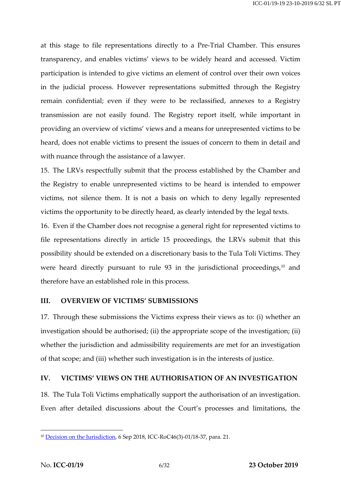at this stage to file representations directly to a Pre-Trial Chamber. This ensures transparency, and enables victims' views to be widely heard and accessed. Victim participation is intended to give victims an element of control over their own voices in the judicial process. However representations submitted through the Registry remain confidential; even if they were to be reclassified, annexes to a Registry transmission are not easily found. The Registry report itself, while important in providing an overview of victims' views and a means for unrepresented victims to be heard, does not enable victims to present the issues of concern to them in detail and with nuance through the assistance of a lawyer.

15. The LRVs respectfully submit that the process established by the Chamber and the Registry to enable unrepresented victims to be heard is intended to empower victims, not silence them. It is not a basis on which to deny legally represented victims the opportunity to be directly heard, as clearly intended by the legal texts.

16. Even if the Chamber does not recognise a general right for represented victims to file representations directly in article 15 proceedings, the LRVs submit that this possibility should be extended on a discretionary basis to the Tula Toli Victims. They were heard directly pursuant to rule 93 in the jurisdictional proceedings,<sup>10</sup> and therefore have an established role in this process.

### **III. OVERVIEW OF VICTIMS' SUBMISSIONS**

17. Through these submissions the Victims express their views as to: (i) whether an investigation should be authorised; (ii) the appropriate scope of the investigation; (ii) whether the jurisdiction and admissibility requirements are met for an investigation of that scope; and (iii) whether such investigation is in the interests of justice.

#### **IV. VICTIMS' VIEWS ON THE AUTHORISATION OF AN INVESTIGATION**

18. The Tula Toli Victims emphatically support the authorisation of an investigation. Even after detailed discussions about the Court's processes and limitations, the

<sup>10</sup> [Decision on the Jurisdiction,](https://www.legal-tools.org/doc/73aeb4/pdf/) 6 Sep 2018, ICC-RoC46(3)-01/18-37, para. 21.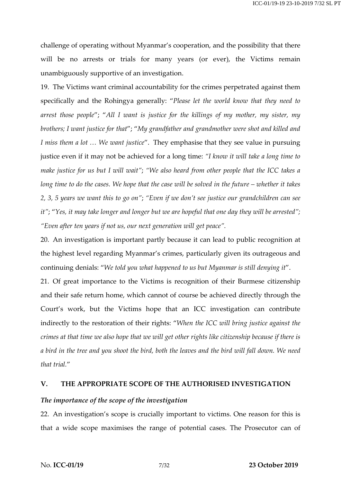challenge of operating without Myanmar's cooperation, and the possibility that there will be no arrests or trials for many years (or ever), the Victims remain unambiguously supportive of an investigation.

19. The Victims want criminal accountability for the crimes perpetrated against them specifically and the Rohingya generally: "*Please let the world know that they need to arrest those people*"; "*All I want is justice for the killings of my mother, my sister, my brothers; I want justice for that*"; "*My grandfather and grandmother were shot and killed and I miss them a lot … We want justice*". They emphasise that they see value in pursuing justice even if it may not be achieved for a long time: *"I know it will take a long time to make justice for us but I will wait"*; *"We also heard from other people that the ICC takes a* long time to do the cases. We hope that the case will be solved in the future  $-\omega$  whether it takes 2, 3, 5 years we want this to go on"; "Even if we don't see justice our grandchildren can see it"; "Yes, it may take longer and longer but we are hopeful that one day they will be arrested"; *"Even after ten years if not us, our next generation will get peace".*

20. An investigation is important partly because it can lead to public recognition at the highest level regarding Myanmar's crimes, particularly given its outrageous and continuing denials: "*We told you what happened to us but Myanmar is still denying it*".

21. Of great importance to the Victims is recognition of their Burmese citizenship and their safe return home, which cannot of course be achieved directly through the Court's work, but the Victims hope that an ICC investigation can contribute indirectly to the restoration of their rights: "*When the ICC will bring justice against the* crimes at that time we also hope that we will get other rights like citizenship because if there is a bird in the tree and you shoot the bird, both the leaves and the bird will fall down. We need *that trial.*"

### **V. THE APPROPRIATE SCOPE OF THE AUTHORISED INVESTIGATION**

#### *The importance of the scope of the investigation*

22. An investigation's scope is crucially important to victims. One reason for this is that a wide scope maximises the range of potential cases. The Prosecutor can of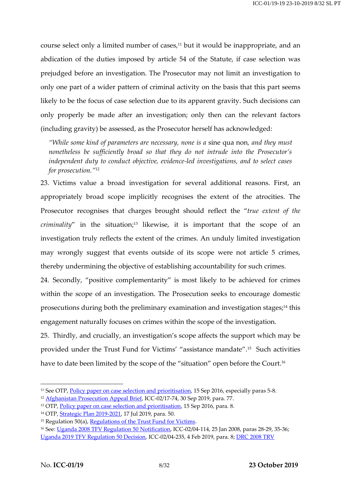course select only a limited number of cases, <sup>11</sup> but it would be inappropriate, and an abdication of the duties imposed by article 54 of the Statute, if case selection was prejudged before an investigation. The Prosecutor may not limit an investigation to only one part of a wider pattern of criminal activity on the basis that this part seems likely to be the focus of case selection due to its apparent gravity. Such decisions can only properly be made after an investigation; only then can the relevant factors (including gravity) be assessed, as the Prosecutor herself has acknowledged:

*"While some kind of parameters are necessary, none is a* sine qua non*, and they must nonetheless be sufficiently broad so that they do not intrude into the Prosecutor's independent duty to conduct objective, evidence-led investigations, and to select cases for prosecution."*<sup>12</sup> 

23. Victims value a broad investigation for several additional reasons. First, an appropriately broad scope implicitly recognises the extent of the atrocities. The Prosecutor recognises that charges brought should reflect the "*true extent of the criminality*" in the situation;<sup>13</sup> likewise, it is important that the scope of an investigation truly reflects the extent of the crimes. An unduly limited investigation may wrongly suggest that events outside of its scope were not article 5 crimes, thereby undermining the objective of establishing accountability for such crimes.

24. Secondly, "positive complementarity" is most likely to be achieved for crimes within the scope of an investigation. The Prosecution seeks to encourage domestic prosecutions during both the preliminary examination and investigation stages; <sup>14</sup> this engagement naturally focuses on crimes within the scope of the investigation.

25. Thirdly, and crucially, an investigation's scope affects the support which may be provided under the Trust Fund for Victims' "assistance mandate".<sup>15</sup> Such activities have to date been limited by the scope of the "situation" open before the Court.<sup>16</sup>

<sup>&</sup>lt;sup>11</sup> See OTP, **Policy paper on case selection and prioritisation**, 15 Sep 2016, especially paras 5-8.

<sup>12</sup> [Afghanistan Prosecution Appeal Brief,](https://www.legal-tools.org/doc/9aqzh3/pdf/) ICC-02/17-74, 30 Sep 2019, para. 77.

<sup>&</sup>lt;sup>13</sup> OTP, [Policy paper on case selection and prioritisation,](https://www.icc-cpi.int/itemsDocuments/20160915_OTP-Policy_Case-Selection_Eng.pdf) 15 Sep 2016, para. 8.

<sup>14</sup> OTP, [Strategic Plan 2019-2021,](https://www.icc-cpi.int/itemsDocuments/20190726-strategic-plan-eng.pdf) 17 Jul 2019, para. 50.

<sup>&</sup>lt;sup>15</sup> Regulation 50(a), [Regulations of the Trust Fund for Victims.](https://www.legal-tools.org/doc/bf30c8/pdf/)

<sup>16</sup> See: Uganda 2008 [TFV Regulation 50](https://www.legal-tools.org/doc/176548/pdf/) Notification, ICC-02/04-114, 25 Jan 2008, paras 28-29, 35-36; Uganda [2019 TFV Regulation 50 Decision,](https://www.legal-tools.org/doc/fe96d7/pdf/) ICC-02/04-235, 4 Feb 2019, para. 8[; DRC 2008 TRV](https://www.legal-tools.org/doc/ccbc5a/pdf/)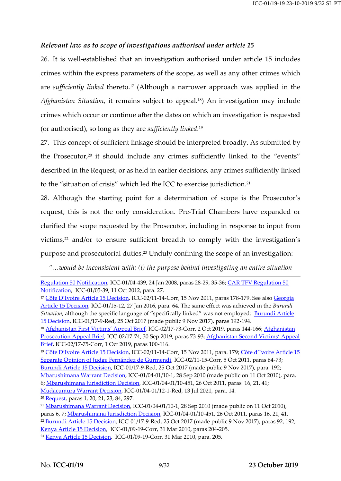### *Relevant law as to scope of investigations authorised under article 15*

26. It is well-established that an investigation authorised under article 15 includes crimes within the express parameters of the scope, as well as any other crimes which are *sufficiently linked* thereto. <sup>17</sup> (Although a narrower approach was applied in the *Afghanistan Situation*, it remains subject to appeal.18) An investigation may include crimes which occur or continue after the dates on which an investigation is requested (or authorised), so long as they are *sufficiently linked*. 19

27. This concept of sufficient linkage should be interpreted broadly. As submitted by the Prosecutor,<sup>20</sup> it should include any crimes sufficiently linked to the "events" described in the Request; or as held in earlier decisions, any crimes sufficiently linked to the "situation of crisis" which led the ICC to exercise jurisdiction.<sup>21</sup>

28. Although the starting point for a determination of scope is the Prosecutor's request, this is not the only consideration. Pre-Trial Chambers have expanded or clarified the scope requested by the Prosecutor, including in response to input from victims, <sup>22</sup> and/or to ensure sufficient breadth to comply with the investigation's purpose and prosecutorial duties.<sup>23</sup> Unduly confining the scope of an investigation:

*"…would be inconsistent with: (i) the purpose behind investigating an entire situation* 

6; Mbarushimana [Jurisdiction Decision,](https://www.legal-tools.org/doc/864f9b/pdf/) ICC-01/04-01/10-451, 26 Oct 2011, paras 16, 21, 41;

Mudacumura [Warrant Decision,](https://www.legal-tools.org/doc/ecfae0/pdf/) ICC-01/04-01/12-1-Red, 13 Jul 2021, para. 14.

<sup>20</sup> [Request,](https://www.legal-tools.org/doc/8a47a5/pdf/) paras 1, 20, 21, 23, 84, 297.

[Regulation 50 Notification,](https://www.legal-tools.org/doc/ccbc5a/pdf/) ICC-01/04-439, 24 Jan 2008, paras 28-29, 35-36[; CAR TFV Regulation 50](https://www.legal-tools.org/doc/552859/pdf/)  [Notification,](https://www.legal-tools.org/doc/552859/pdf/) ICC-01/05-39, 11 Oct 2012, para. 27.

<sup>&</sup>lt;sup>17</sup> [Côte D'Ivo](https://www.legal-tools.org/doc/e0c0eb/pdf/)ire Article 15 Decision, ICC-02/11-14-Corr, 15 Nov 2011, paras 178-179. See also Georgia [Article 15 Decision,](https://www.legal-tools.org/doc/a3d07e/pdf/) ICC-01/15-12, 27 Jan 2016, para. 64. The same effect was achieved in the *Burundi Situation*, although the specific language of "specifically linked" was not employed: [Burundi Article](https://www.legal-tools.org/doc/8f2373/pdf/)  [15 Decision,](https://www.legal-tools.org/doc/8f2373/pdf/) ICC-01/17-9-Red, 25 Oct 2017 (made public 9 Nov 2017), paras 192-194.

<sup>18</sup> Afghanistan First [Victims' Appeal Bri](https://www.legal-tools.org/doc/efh6lh/pdf/)ef, ICC-02/17-73-Corr, 2 Oct 2019, paras 144-166; [Afghanistan](https://www.legal-tools.org/doc/9aqzh3/pdf/)  [Prosecution Appeal Brief,](https://www.legal-tools.org/doc/9aqzh3/pdf/) ICC-02/17-74, 30 Sep 2019, paras 73-93; Afghan[istan Second Victims' Appeal](https://www.legal-tools.org/doc/j2qu3j/pdf/)  [Brief,](https://www.legal-tools.org/doc/j2qu3j/pdf/) ICC-02/17-75-Corr, 1 Oct 2019, paras 100-116.

<sup>&</sup>lt;sup>19</sup> [Côte D'Ivoire](https://www.legal-tools.org/doc/e0c0eb/pdf/) Article 15 Decision, ICC-02/11-14-Corr, 15 Nov 2011, para. 179; [Côte d'Ivoire](https://www.legal-tools.org/doc/eb8724/pdf/) Article 15 [Separate Opinion of Judge Fernández de Gurmendi,](https://www.legal-tools.org/doc/eb8724/pdf/) ICC-02/11-15-Corr, 5 Oct 2011, paras 64-73; [Burundi Article 15 Decision,](https://www.legal-tools.org/doc/8f2373/pdf/) ICC-01/17-9-Red, 25 Oct 2017 (made public 9 Nov 2017), para. 192; Mbarushimana [Warrant Decision,](https://www.legal-tools.org/doc/04d4fa/pdf) ICC-01/04-01/10-1, 28 Sep 2010 (made public on 11 Oct 2010), para.

<sup>&</sup>lt;sup>21</sup> Mbarushimana [Warrant Decision,](https://www.legal-tools.org/doc/04d4fa/pdf) ICC-01/04-01/10-1, 28 Sep 2010 (made public on 11 Oct 2010), paras 6, 7; Mbarushimana [Jurisdiction Decision,](https://www.legal-tools.org/doc/864f9b/pdf/) ICC-01/04-01/10-451, 26 Oct 2011, paras 16, 21, 41. <sup>22</sup> [Burundi Article 15 Decision,](https://www.legal-tools.org/doc/8f2373/pdf/) ICC-01/17-9-Red, 25 Oct 2017 (made public 9 Nov 2017), paras 92, 192; [Kenya Article 15 Decision,](https://www.legal-tools.org/doc/f0caaf/pdf/) ICC-01/09-19-Corr, 31 Mar 2010, paras 204-205.

<sup>23</sup> [Kenya Article 15 Decision,](https://www.legal-tools.org/doc/f0caaf/pdf/) ICC-01/09-19-Corr, 31 Mar 2010, para. 205.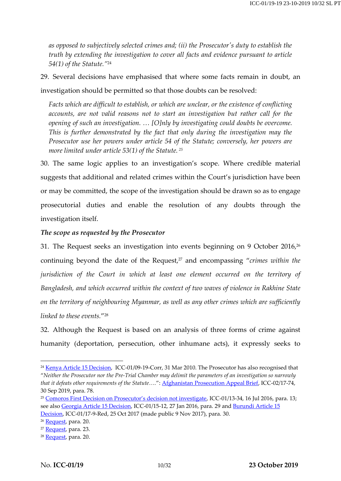*as opposed to subjectively selected crimes and; (ii) the Prosecutor's duty to establish the truth by extending the investigation to cover all facts and evidence pursuant to article 54(1) of the Statute."* 24

29. Several decisions have emphasised that where some facts remain in doubt, an

investigation should be permitted so that those doubts can be resolved:

*Facts which are difficult to establish, or which are unclear, or the existence of conflicting accounts, are not valid reasons not to start an investigation but rather call for the opening of such an investigation. … [O]nly by investigating could doubts be overcome. This is further demonstrated by the fact that only during the investigation may the Prosecutor use her powers under article 54 of the Statute; conversely, her powers are more limited under article 53(1) of the Statute. <sup>25</sup>*

30. The same logic applies to an investigation's scope. Where credible material suggests that additional and related crimes within the Court's jurisdiction have been or may be committed, the scope of the investigation should be drawn so as to engage prosecutorial duties and enable the resolution of any doubts through the investigation itself.

### *The scope as requested by the Prosecutor*

31. The Request seeks an investigation into events beginning on 9 October 2016, $^{26}$ continuing beyond the date of the Request, <sup>27</sup> and encompassing "*crimes within the jurisdiction of the Court in which at least one element occurred on the territory of Bangladesh, and which occurred within the context of two waves of violence in Rakhine State on the territory of neighbouring Myanmar, as well as any other crimes which are sufficiently linked to these events.*" 28

32. Although the Request is based on an analysis of three forms of crime against humanity (deportation, persecution, other inhumane acts), it expressly seeks to

<sup>&</sup>lt;sup>24</sup> [Kenya Article 15 Decision,](https://www.legal-tools.org/doc/f0caaf/pdf/) ICC-01/09-19-Corr, 31 Mar 2010. The Prosecutor has also recognised that "*Neither the Prosecutor nor the Pre-Trial Chamber may delimit the parameters of an investigation so narrowly that it defeats other requirements of the Statute….*": [Afghanistan Prosecution Appeal Brief,](https://www.legal-tools.org/doc/9aqzh3/pdf/) ICC-02/17-74, 30 Sep 2019, para. 78.

<sup>25</sup> [Comoros First Decision on Prosecutor's decision not investigate](https://www.legal-tools.org/doc/2f876c/pdf/), ICC-01/13-34, 16 Jul 2016, para. 13; see also [Georgia Article 15 Decision,](https://www.legal-tools.org/doc/a3d07e/pdf/) ICC-01/15-12, 27 Jan 2016, para. 29 and Burundi Article 15 [Decision,](https://www.legal-tools.org/doc/8f2373/pdf/) ICC-01/17-9-Red, 25 Oct 2017 (made public 9 Nov 2017), para. 30.

<sup>&</sup>lt;sup>26</sup> [Request,](https://www.legal-tools.org/doc/8a47a5/pdf/) para. 20.

<sup>&</sup>lt;sup>27</sup> [Request,](https://www.legal-tools.org/doc/8a47a5/pdf/) para. 23.

<sup>&</sup>lt;sup>28</sup> [Request,](https://www.legal-tools.org/doc/8a47a5/pdf/) para. 20.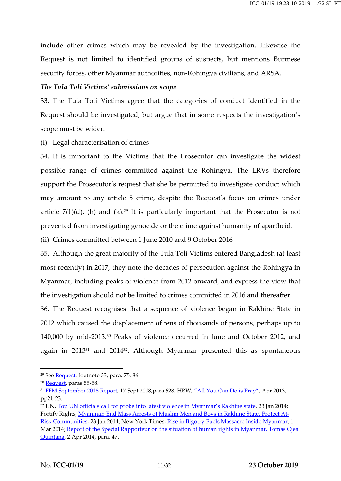include other crimes which may be revealed by the investigation. Likewise the Request is not limited to identified groups of suspects, but mentions Burmese security forces, other Myanmar authorities, non-Rohingya civilians, and ARSA.

### *The Tula Toli Victims' submissions on scope*

33. The Tula Toli Victims agree that the categories of conduct identified in the Request should be investigated, but argue that in some respects the investigation's scope must be wider.

### (i) Legal characterisation of crimes

34. It is important to the Victims that the Prosecutor can investigate the widest possible range of crimes committed against the Rohingya. The LRVs therefore support the Prosecutor's request that she be permitted to investigate conduct which may amount to any article 5 crime, despite the Request's focus on crimes under article 7(1)(d), (h) and (k). <sup>29</sup> It is particularly important that the Prosecutor is not prevented from investigating genocide or the crime against humanity of apartheid.

(ii) Crimes committed between 1 June 2010 and 9 October 2016

35. Although the great majority of the Tula Toli Victims entered Bangladesh (at least most recently) in 2017, they note the decades of persecution against the Rohingya in Myanmar, including peaks of violence from 2012 onward, and express the view that the investigation should not be limited to crimes committed in 2016 and thereafter.

36. The Request recognises that a sequence of violence began in Rakhine State in 2012 which caused the displacement of tens of thousands of persons, perhaps up to 140,000 by mid-2013.<sup>30</sup> Peaks of violence occurred in June and October 2012, and again in 2013<sup>31</sup> and 2014<sup>32</sup>. Although Myanmar presented this as spontaneous

<sup>&</sup>lt;sup>29</sup> See **Request**, footnote 33; para. 75, 86.

<sup>&</sup>lt;sup>30</sup> [Request,](https://www.legal-tools.org/doc/8a47a5/pdf/) paras 55-58.

<sup>&</sup>lt;sup>31</sup> [FFM September 2018 Report,](https://www.ohchr.org/Documents/HRBodies/HRCouncil/FFM-Myanmar/A_HRC_39_CRP.2.pdf) 17 Sept 2018, para.628; HRW, ["All You Can Do is Pray"](https://www.hrw.org/sites/default/files/reports/burma0413_FullForWeb.pdf), Apr 2013, pp21-23.

<sup>&</sup>lt;sup>32</sup> UN, [Top UN officials call for probe into latest violence in Myanmar's Rakhine state](https://news.un.org/en/story/2014/01/460282-top-un-officials-call-probe-latest-violence-myanmars-rakhine-state), 23 Jan 2014; Fortify Rights, [Myanmar: End Mass Arrests of Muslim Men and Boys in Rakhine State, Protect At-](https://www.fortifyrights.org/publication-20140123.html)[Risk Communities,](https://www.fortifyrights.org/publication-20140123.html) 23 Jan 2014; New York Times, [Rise in Bigotry Fuels Massacre Inside Myanmar,](https://www.nytimes.com/2014/03/02/world/asia/rise-in-bigotry-fuels-massacre-inside-myanmar.html?ref=todayspaper&_r=1) 1 Mar 2014; [Report of the Special Rapporteur on the situation of human rights in Myanmar, Tomás Ojea](https://documents-dds-ny.un.org/doc/UNDOC/GEN/G14/129/94/PDF/G1412994.pdf?OpenElement)  [Quintana,](https://documents-dds-ny.un.org/doc/UNDOC/GEN/G14/129/94/PDF/G1412994.pdf?OpenElement) 2 Apr 2014, para. 47.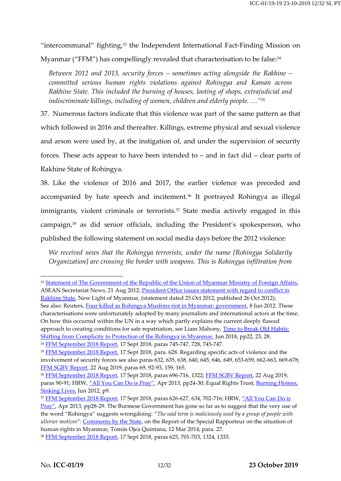"intercommunal" fighting, <sup>33</sup> the Independent International Fact-Finding Mission on

Myanmar ("FFM") has compellingly revealed that characterisation to be false: 34

*Between 2012 and 2013, security forces – sometimes acting alongside the Rakhine – committed serious human rights violations against Rohingya and Kaman across Rakhine State. This included the burning of houses, looting of shops, extrajudicial and indiscriminate killings, including of women, children and elderly people. …"*<sup>35</sup>

37. Numerous factors indicate that this violence was part of the same pattern as that which followed in 2016 and thereafter. Killings, extreme physical and sexual violence and arson were used by, at the instigation of, and under the supervision of security forces. These acts appear to have been intended to – and in fact did – clear parts of Rakhine State of Rohingya.

38. Like the violence of 2016 and 2017, the earlier violence was preceded and accompanied by hate speech and incitement. <sup>36</sup> It portrayed Rohingya as illegal immigrants, violent criminals or terrorists. <sup>37</sup> State media actively engaged in this campaign,<sup>38</sup> as did senior officials, including the President's spokesperson, who published the following statement on social media days before the 2012 violence:

*We received news that the Rohingya terrorists, under the name [Rohingya Solidarity Organization] are crossing the border with weapons. This is Rohingya infiltration from* 

<sup>&</sup>lt;sup>33</sup> [Statement of The Government of the Republic of the Union of Myanmar Ministry of Foreign Affairs,](https://asean.org/the-government-of-the-republic-of-the-union-of-myanmar-ministry-of-foreign-affair/) ASEAN Secretariat News, 21 Aug 2012; President Office issues statement with regard to conflict in [Rakhine State,](http://www.burmalibrary.org/docs14/NLM2012-10-26.pdf) New Light of Myanmar, (statement dated 25 Oct 2012, published 26 Oct 2012); See also: Reuters[, Four killed as Rohingya Muslims riot in Myanmar: government,](https://www.reuters.com/article/us-myanmar-violence/four-killed-as-rohingya-muslims-riot-in-myanmar-government-idUSBRE85714E20120608) 8 Jun 2012. These characterisations were unfortunately adopted by many journalists and international actors at the time. On how this occurred within the UN in a way which partly explains the current deeply flawed approach to creating conditions for safe repatriation, see Liam Mahony, [Time to Break Old Habits:](http://www.fieldviewsolutions.org/fv-publications/Time_to_break_old_habits.pdf)  [Shifting from Complicity to Protection of the Rohingya in Myanmar,](http://www.fieldviewsolutions.org/fv-publications/Time_to_break_old_habits.pdf) Jun 2018, pp22, 23, 28. <sup>34</sup> [FFM September 2018 Report,](https://www.ohchr.org/Documents/HRBodies/HRCouncil/FFM-Myanmar/A_HRC_39_CRP.2.pdf) 17 Sept 2018, paras 745-747, 728, 745-747.

<sup>&</sup>lt;sup>35</sup> [FFM September 2018 Report,](https://www.ohchr.org/Documents/HRBodies/HRCouncil/FFM-Myanmar/A_HRC_39_CRP.2.pdf) 17 Sept 2018, para. 628. Regarding specific acts of violence and the involvement of security forces see also paras 632, 635, 638, 640, 645, 646, 649, 653-659, 662-663, 669-678; [FFM SGBV Report,](https://www.ohchr.org/Documents/HRBodies/HRCouncil/FFM-Myanmar/sexualviolence/A_HRC_CRP_4.pdf) 22 Aug 2019, paras 69, 92-93, 159, 165.

<sup>&</sup>lt;sup>36</sup> [FFM September 2018 Report,](https://www.ohchr.org/Documents/HRBodies/HRCouncil/FFM-Myanmar/A_HRC_39_CRP.2.pdf) 17 Sept 2018, paras 696-716, 1322; [FFM SGBV Report,](https://www.ohchr.org/Documents/HRBodies/HRCouncil/FFM-Myanmar/sexualviolence/A_HRC_CRP_4.pdf) 22 Aug 2019, paras 90-91; HRW, ["All You Can Do is Pray"](https://www.hrw.org/sites/default/files/reports/burma0413_FullForWeb.pdf), Apr 2013, pp24-30; Equal Rights Trust, Burning Homes, [Sinking Lives,](https://www.equalrightstrust.org/ertdocumentbank/The%20Equal%20Rights%20Trust%20-%20Burning%20Homes%20Sinking%20Lives.pdf) Jun 2012, p9.

<sup>37</sup> [FFM September 2018 Report,](https://www.ohchr.org/Documents/HRBodies/HRCouncil/FFM-Myanmar/A_HRC_39_CRP.2.pdf) 17 Sept 2018, paras 626-627, 634, 702-716; HRW, ["All You Can Do is](https://www.hrw.org/sites/default/files/reports/burma0413_FullForWeb.pdf)  [Pray"](https://www.hrw.org/sites/default/files/reports/burma0413_FullForWeb.pdf), Apr 2013, pp28-29. The Burmese Government has gone so far as to suggest that the very use of the word "Rohingya" suggests wrongdoing: "*The said term is maliciously used by a group of people with ulterior motives"*: [Comments by the State,](https://documents-dds-ny.un.org/doc/UNDOC/GEN/G14/119/69/PDF/G1411969.pdf?OpenElement) on the Report of the Special Rapporteur on the situation of human rights in Myanmar, Tomás Ojea Quintana, 12 Mar 2014, para. 27.

<sup>38</sup> [FFM September 2018 Report,](https://www.ohchr.org/Documents/HRBodies/HRCouncil/FFM-Myanmar/A_HRC_39_CRP.2.pdf) 17 Sept 2018, paras 625, 701-703, 1324, 1333.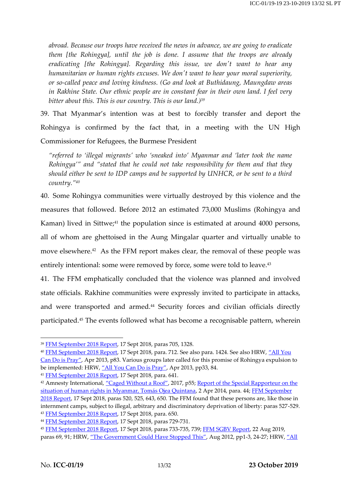*abroad. Because our troops have received the news in advance, we are going to eradicate them [the Rohingya], until the job is done. I assume that the troops are already eradicating [the Rohingya]. Regarding this issue, we don't want to hear any humanitarian or human rights excuses. We don't want to hear your moral superiority, or so-called peace and loving kindness. (Go and look at Buthidaung, Maungdaw areas in Rakhine State. Our ethnic people are in constant fear in their own land. I feel very bitter about this. This is our country. This is our land.)<sup>39</sup>*

39. That Myanmar's intention was at best to forcibly transfer and deport the Rohingya is confirmed by the fact that, in a meeting with the UN High Commissioner for Refugees, the Burmese President

*"referred to 'illegal migrants' who 'sneaked into' Myanmar and 'later took the name Rohingya'" and "stated that he could not take responsibility for them and that they should either be sent to IDP camps and be supported by UNHCR, or be sent to a third country." 40*

40. Some Rohingya communities were virtually destroyed by this violence and the measures that followed. Before 2012 an estimated 73,000 Muslims (Rohingya and Kaman) lived in Sittwe; <sup>41</sup> the population since is estimated at around 4000 persons, all of whom are ghettoised in the Aung Mingalar quarter and virtually unable to move elsewhere.<sup>42</sup> As the FFM report makes clear, the removal of these people was entirely intentional: some were removed by force, some were told to leave.<sup>43</sup>

41. The FFM emphatically concluded that the violence was planned and involved state officials. Rakhine communities were expressly invited to participate in attacks, and were transported and armed.<sup>44</sup> Security forces and civilian officials directly participated. <sup>45</sup> The events followed what has become a recognisable pattern, wherein

<sup>39</sup> [FFM September 2018 Report,](https://www.ohchr.org/Documents/HRBodies/HRCouncil/FFM-Myanmar/A_HRC_39_CRP.2.pdf) 17 Sept 2018, paras 705, 1328.

<sup>&</sup>lt;sup>40</sup> [FFM September 2018 Report,](https://www.ohchr.org/Documents/HRBodies/HRCouncil/FFM-Myanmar/A_HRC_39_CRP.2.pdf) 17 Sept 2018, para. 712. See also para. 1424. See also HRW, "All You [Can Do is Pray"](https://www.hrw.org/sites/default/files/reports/burma0413_FullForWeb.pdf), Apr 2013, p83. Various groups later called for this promise of Rohingya expulsion to be implemented: HRW, ["All You Can Do is Pray"](https://www.hrw.org/sites/default/files/reports/burma0413_FullForWeb.pdf), Apr 2013, pp33, 84.

<sup>&</sup>lt;sup>41</sup> [FFM September 2018 Report,](https://www.ohchr.org/Documents/HRBodies/HRCouncil/FFM-Myanmar/A_HRC_39_CRP.2.pdf) 17 Sept 2018, para. 641.

<sup>42</sup> Amnesty International, ["Caged Without a Roof"](https://www.amnesty.org.uk/files/CagedwithoutaRoof-ApartheidMyanmar-AIreport.pdf), 2017, p55; Report of the Special Rapporteur on the [situation of human rights in Myanmar, Tomás Ojea Quintana,](https://documents-dds-ny.un.org/doc/UNDOC/GEN/G14/129/94/PDF/G1412994.pdf?OpenElement) 2 Apr 2014, para. 44[; FFM September](https://www.ohchr.org/Documents/HRBodies/HRCouncil/FFM-Myanmar/A_HRC_39_CRP.2.pdf)  [2018 Report,](https://www.ohchr.org/Documents/HRBodies/HRCouncil/FFM-Myanmar/A_HRC_39_CRP.2.pdf) 17 Sept 2018, paras 520, 525, 643, 650. The FFM found that these persons are, like those in internment camps, subject to illegal, arbitrary and discriminatory deprivation of liberty: paras 527-529. <sup>43</sup> [FFM September 2018 Report,](https://www.ohchr.org/Documents/HRBodies/HRCouncil/FFM-Myanmar/A_HRC_39_CRP.2.pdf) 17 Sept 2018, para. 650.

<sup>44</sup> [FFM September 2018 Report,](https://www.ohchr.org/Documents/HRBodies/HRCouncil/FFM-Myanmar/A_HRC_39_CRP.2.pdf) 17 Sept 2018, paras 729-731.

<sup>45</sup> [FFM September 2018 Report,](https://www.ohchr.org/Documents/HRBodies/HRCouncil/FFM-Myanmar/A_HRC_39_CRP.2.pdf) 17 Sept 2018, paras 733-735, 739; [FFM SGBV Report,](https://www.ohchr.org/Documents/HRBodies/HRCouncil/FFM-Myanmar/sexualviolence/A_HRC_CRP_4.pdf) 22 Aug 2019, paras 69, 91; HRW, ["The Government Could Have Stopped This"](https://www.hrw.org/sites/default/files/reports/burma0812webwcover_0.pdf), Aug 2012, pp1-3, 24-27; HRW, "All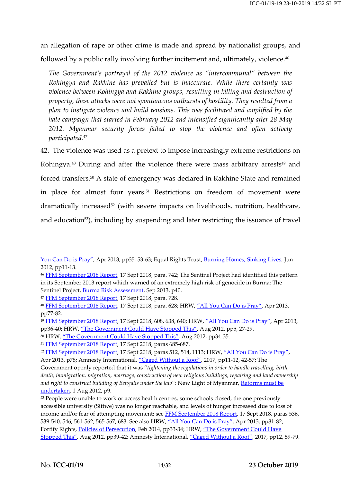an allegation of rape or other crime is made and spread by nationalist groups, and followed by a public rally involving further incitement and, ultimately, violence.<sup>46</sup>

*The Government's portrayal of the 2012 violence as "intercommunal" between the Rohingya and Rakhine has prevailed but is inaccurate. While there certainly was violence between Rohingya and Rakhine groups, resulting in killing and destruction of property, these attacks were not spontaneous outbursts of hostility. They resulted from a plan to instigate violence and build tensions. This was facilitated and amplified by the hate campaign that started in February 2012 and intensified significantly after 28 May 2012. Myanmar security forces failed to stop the violence and often actively participated.*<sup>47</sup>

42. The violence was used as a pretext to impose increasingly extreme restrictions on Rohingya.<sup>48</sup> During and after the violence there were mass arbitrary arrests<sup>49</sup> and forced transfers.<sup>50</sup> A state of emergency was declared in Rakhine State and remained in place for almost four years.<sup>51</sup> Restrictions on freedom of movement were dramatically increased<sup>52</sup> (with severe impacts on livelihoods, nutrition, healthcare, and education<sup>53</sup>), including by suspending and later restricting the issuance of travel

<sup>47</sup> [FFM September 2018 Report,](https://www.ohchr.org/Documents/HRBodies/HRCouncil/FFM-Myanmar/A_HRC_39_CRP.2.pdf) 17 Sept 2018, para. 728.

<sup>50</sup> HRW, ["The Government Could Have Stopped This"](https://www.hrw.org/sites/default/files/reports/burma0812webwcover_0.pdf), Aug 2012, pp34-35.

[You Can Do is Pray"](https://www.hrw.org/sites/default/files/reports/burma0413_FullForWeb.pdf), Apr 2013, pp35, 53-63; Equal Rights Trust, [Burning Homes, Sinking Lives,](https://www.equalrightstrust.org/ertdocumentbank/The%20Equal%20Rights%20Trust%20-%20Burning%20Homes%20Sinking%20Lives.pdf) Jun 2012, pp11-13.

<sup>&</sup>lt;sup>46</sup> [FFM September 2018 Report,](https://www.ohchr.org/Documents/HRBodies/HRCouncil/FFM-Myanmar/A_HRC_39_CRP.2.pdf) 17 Sept 2018, para. 742; The Sentinel Project had identified this pattern in its September 2013 report which warned of an extremely high risk of genocide in Burma: The Sentinel Project, [Burma Risk Assessment,](https://thesentinelproject.org/wp-content/uploads/2013/09/Risk-Assessment-Burma-September-2013.pdf) Sep 2013, p40.

<sup>48</sup> [FFM September 2018 Report,](https://www.ohchr.org/Documents/HRBodies/HRCouncil/FFM-Myanmar/A_HRC_39_CRP.2.pdf) 17 Sept 2018, para. 628; HRW, ["All You Can Do is Pray"](https://www.hrw.org/sites/default/files/reports/burma0413_FullForWeb.pdf), Apr 2013, pp77-82.

<sup>49</sup> [FFM September 2018 Report,](https://www.ohchr.org/Documents/HRBodies/HRCouncil/FFM-Myanmar/A_HRC_39_CRP.2.pdf) 17 Sept 2018, 608, 638, 640; HRW, ["All You Can Do is Pray"](https://www.hrw.org/sites/default/files/reports/burma0413_FullForWeb.pdf), Apr 2013, pp36-40; HRW, ["The Government Could Have Stopped This"](https://www.hrw.org/sites/default/files/reports/burma0812webwcover_0.pdf), Aug 2012, pp5, 27-29.

<sup>&</sup>lt;sup>51</sup> [FFM September 2018 Report,](https://www.ohchr.org/Documents/HRBodies/HRCouncil/FFM-Myanmar/A_HRC_39_CRP.2.pdf) 17 Sept 2018, paras 685-687.

<sup>52</sup> [FFM September 2018 Report,](https://www.ohchr.org/Documents/HRBodies/HRCouncil/FFM-Myanmar/A_HRC_39_CRP.2.pdf) 17 Sept 2018, paras 512, 514, 1113; HRW, ["All You Can Do is Pray"](https://www.hrw.org/sites/default/files/reports/burma0413_FullForWeb.pdf), Apr 2013, p78; Amnesty International, ["Caged Without a Roof"](https://www.amnesty.org.uk/files/CagedwithoutaRoof-ApartheidMyanmar-AIreport.pdf), 2017, pp11-12, 42-57; The

Government openly reported that it was "*tightening the regulations in order to handle travelling, birth, death, immigration, migration, marriage, construction of new religious buildings, repairing and land ownership*  and right to construct building of Bengalis under the law": New Light of Myanmar, Reforms must be [undertaken,](http://www.burmalibrary.org/docs13/NLM2012-08-01.pdf) 1 Aug 2012, p9.

<sup>&</sup>lt;sup>53</sup> People were unable to work or access health centres, some schools closed, the one previously accessible university (Sittwe) was no longer reachable, and levels of hunger increased due to loss of income and/or fear of attempting movement: see [FFM September 2018 Report,](https://www.ohchr.org/Documents/HRBodies/HRCouncil/FFM-Myanmar/A_HRC_39_CRP.2.pdf) 17 Sept 2018, paras 536, 539-540, 546, 561-562, 565-567, 683. See also HRW, ["All You Can Do is Pray"](https://www.hrw.org/sites/default/files/reports/burma0413_FullForWeb.pdf), Apr 2013, pp81-82; Fortify Rights, [Policies of Persecution,](https://www.fortifyrights.org/downloads/Policies_of_Persecution_Feb_25_Fortify_Rights.pdf) Feb 2014, pp33-34; HRW, "The Government Could Have [Stopped This"](https://www.hrw.org/sites/default/files/reports/burma0812webwcover_0.pdf), Aug 2012, pp39-42; Amnesty International, ["Caged Without a Roof"](https://www.amnesty.org.uk/files/CagedwithoutaRoof-ApartheidMyanmar-AIreport.pdf), 2017, pp12, 59-79.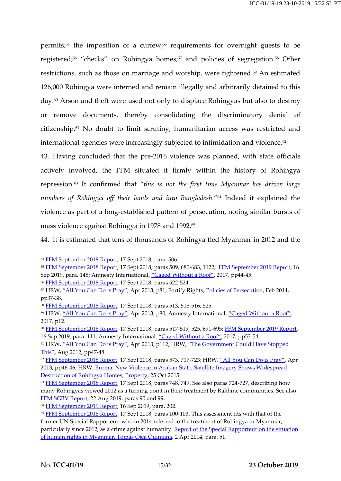permits;<sup>54</sup> the imposition of a curfew;<sup>55</sup> requirements for overnight guests to be registered;<sup>56</sup> "checks" on Rohingya homes;<sup>57</sup> and policies of segregation.<sup>58</sup> Other restrictions, such as those on marriage and worship, were tightened.<sup>59</sup> An estimated 126,000 Rohingya were interned and remain illegally and arbitrarily detained to this day.<sup>60</sup> Arson and theft were used not only to displace Rohingyas but also to destroy or remove documents, thereby consolidating the discriminatory denial of citizenship.<sup>61</sup> No doubt to limit scrutiny, humanitarian access was restricted and international agencies were increasingly subjected to intimidation and violence.<sup>62</sup>

43. Having concluded that the pre-2016 violence was planned, with state officials actively involved, the FFM situated it firmly within the history of Rohingya repression. <sup>63</sup> It confirmed that "*this is not the first time Myanmar has driven large numbers of Rohingya off their lands and into Bangladesh.*" <sup>64</sup> Indeed it explained the violence as part of a long-established pattern of persecution, noting similar bursts of mass violence against Rohingya in 1978 and 1992.<sup>65</sup>

44. It is estimated that tens of thousands of Rohingya fled Myanmar in 2012 and the

<sup>54</sup> [FFM September 2018 Report,](https://www.ohchr.org/Documents/HRBodies/HRCouncil/FFM-Myanmar/A_HRC_39_CRP.2.pdf) 17 Sept 2018, para. 506.

<sup>55</sup> [FFM September 2018 Report,](https://www.ohchr.org/Documents/HRBodies/HRCouncil/FFM-Myanmar/A_HRC_39_CRP.2.pdf) 17 Sept 2018, paras 509, 680-683, 1122; [FFM September 2019 Report,](https://www.ohchr.org/Documents/HRBodies/HRCouncil/FFM-Myanmar/20190916/A_HRC_42_CRP.5.pdf) 16 Sep 2019, para. 148; Amnesty International, ["Caged Without a Roof"](https://www.amnesty.org.uk/files/CagedwithoutaRoof-ApartheidMyanmar-AIreport.pdf), 2017, pp44-45.

<sup>56</sup> [FFM September 2018 Report,](https://www.ohchr.org/Documents/HRBodies/HRCouncil/FFM-Myanmar/A_HRC_39_CRP.2.pdf) 17 Sept 2018, paras 522-524.

<sup>&</sup>lt;sup>57</sup> HRW, ["All You Can Do is Pray"](https://www.hrw.org/sites/default/files/reports/burma0413_FullForWeb.pdf), Apr 2013, p81; Fortify Rights[, Policies of Persecution,](https://www.fortifyrights.org/downloads/Policies_of_Persecution_Feb_25_Fortify_Rights.pdf) Feb 2014, pp37-38.

<sup>58</sup> [FFM September 2018 Report,](https://www.ohchr.org/Documents/HRBodies/HRCouncil/FFM-Myanmar/A_HRC_39_CRP.2.pdf) 17 Sept 2018, paras 513, 515-516, 525.

<sup>59</sup> HRW, ["All You Can Do is Pray"](https://www.hrw.org/sites/default/files/reports/burma0413_FullForWeb.pdf), Apr 2013, p80; Amnesty International, ["Caged Without a Roof"](https://www.amnesty.org.uk/files/CagedwithoutaRoof-ApartheidMyanmar-AIreport.pdf), 2017, p12.

<sup>60</sup> [FFM September 2018 Report,](https://www.ohchr.org/Documents/HRBodies/HRCouncil/FFM-Myanmar/A_HRC_39_CRP.2.pdf) 17 Sept 2018, paras 517-519, 525, 691-695[; FFM September 2019 Report,](https://www.ohchr.org/Documents/HRBodies/HRCouncil/FFM-Myanmar/20190916/A_HRC_42_CRP.5.pdf) 16 Sep 2019, para. 111; Amnesty International, ["Caged Without a Roof"](https://www.amnesty.org.uk/files/CagedwithoutaRoof-ApartheidMyanmar-AIreport.pdf), 2017, pp53-54.

<sup>&</sup>lt;sup>61</sup> HRW, ["All You Can Do is Pray"](https://www.hrw.org/sites/default/files/reports/burma0413_FullForWeb.pdf), Apr 2013, p112; HRW, "The Government Could Have Stopped [This"](https://www.hrw.org/sites/default/files/reports/burma0812webwcover_0.pdf), Aug 2012, pp47-48.

<sup>62</sup> [FFM September 2018 Report,](https://www.ohchr.org/Documents/HRBodies/HRCouncil/FFM-Myanmar/A_HRC_39_CRP.2.pdf) 17 Sept 2018, paras 573, 717-723; HRW, ["All You Can Do is Pray"](https://www.hrw.org/sites/default/files/reports/burma0413_FullForWeb.pdf), Apr 2013, pp46-46; HRW, [Burma: New Violence in Arakan State, Satellite Imagery Shows Widespread](https://www.hrw.org/news/2012/10/26/burma-new-violence-arakan-state)  [Destruction of Rohingya Homes, Property,](https://www.hrw.org/news/2012/10/26/burma-new-violence-arakan-state) 25 Oct 2015.

<sup>&</sup>lt;sup>63</sup> [FFM September 2018 Report,](https://www.ohchr.org/Documents/HRBodies/HRCouncil/FFM-Myanmar/A_HRC_39_CRP.2.pdf) 17 Sept 2018, paras 748, 749. See also paras 724-727, describing how many Rohingyas viewed 2012 as a turning point in their treatment by Rakhine communities. See also [FFM SGBV Report,](https://www.ohchr.org/Documents/HRBodies/HRCouncil/FFM-Myanmar/sexualviolence/A_HRC_CRP_4.pdf) 22 Aug 2019, paras 90 and 99.

<sup>64</sup> [FFM September 2019 Report,](https://www.ohchr.org/Documents/HRBodies/HRCouncil/FFM-Myanmar/20190916/A_HRC_42_CRP.5.pdf) 16 Sep 2019, para. 202.

<sup>&</sup>lt;sup>65</sup> [FFM September 2018 Report,](https://www.ohchr.org/Documents/HRBodies/HRCouncil/FFM-Myanmar/A_HRC_39_CRP.2.pdf) 17 Sept 2018, paras 100-103. This assessment fits with that of the former UN Special Rapporteur, who in 2014 referred to the treatment of Rohingya in Myanmar, particularly since 2012, as a crime against humanity: Report of the Special Rapporteur on the situation [of human rights in Myanmar, Tomás Ojea Quintana,](https://documents-dds-ny.un.org/doc/UNDOC/GEN/G14/129/94/PDF/G1412994.pdf?OpenElement) 2 Apr 2014, para. 51.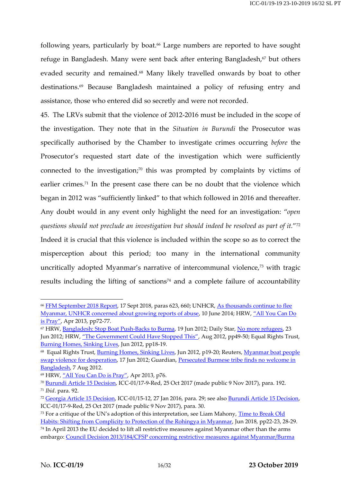following years, particularly by boat. <sup>66</sup> Large numbers are reported to have sought refuge in Bangladesh. Many were sent back after entering Bangladesh, <sup>67</sup> but others evaded security and remained. <sup>68</sup> Many likely travelled onwards by boat to other destinations.<sup>69</sup> Because Bangladesh maintained a policy of refusing entry and assistance, those who entered did so secretly and were not recorded.

45. The LRVs submit that the violence of 2012-2016 must be included in the scope of the investigation. They note that in the *Situation in Burundi* the Prosecutor was specifically authorised by the Chamber to investigate crimes occurring *before* the Prosecutor's requested start date of the investigation which were sufficiently connected to the investigation; <sup>70</sup> this was prompted by complaints by victims of earlier crimes.<sup>71</sup> In the present case there can be no doubt that the violence which began in 2012 was "sufficiently linked" to that which followed in 2016 and thereafter. Any doubt would in any event only highlight the need for an investigation: "*open questions should not preclude an investigation but should indeed be resolved as part of it.*" 72 Indeed it is crucial that this violence is included within the scope so as to correct the misperception about this period; too many in the international community uncritically adopted Myanmar's narrative of intercommunal violence,<sup>73</sup> with tragic results including the lifting of sanctions $74$  and a complete failure of accountability

<sup>&</sup>lt;sup>66</sup> [FFM September 2018 Report,](https://www.ohchr.org/Documents/HRBodies/HRCouncil/FFM-Myanmar/A_HRC_39_CRP.2.pdf) 17 Sept 2018, paras 623, 660; UNHCR, As thousands continue to flee [Myanmar, UNHCR concerned about growing reports of abuse,](https://www.unhcr.org/5396ee3b9.html) 10 June 2014; HRW, ["All You Can Do](https://www.hrw.org/sites/default/files/reports/burma0413_FullForWeb.pdf)  [is Pray"](https://www.hrw.org/sites/default/files/reports/burma0413_FullForWeb.pdf), Apr 2013, pp72-77.

<sup>&</sup>lt;sup>67</sup> HRW, [Bangladesh: Stop Boat Push-Backs to Burma,](https://www.hrw.org/news/2012/06/19/bangladesh-stop-boat-push-backs-burma) 19 Jun 2012; Daily Star, [No more refugees,](https://www.thedailystar.net/news-detail-238074) 23 Jun 2012; HRW, ["The Government Could Have Stopped This"](https://www.hrw.org/sites/default/files/reports/burma0812webwcover_0.pdf), Aug 2012, pp49-50; Equal Rights Trust, [Burning Homes, Sinking Lives,](https://www.equalrightstrust.org/ertdocumentbank/The%20Equal%20Rights%20Trust%20-%20Burning%20Homes%20Sinking%20Lives.pdf) Jun 2012, pp18-19.

<sup>&</sup>lt;sup>68</sup> Equal Rights Trust, <u>Burning Homes, Sinking Lives</u>, Jun 2012, p19-20; Reuters, <u>Myanmar boat people</u> [swap violence for desperation,](https://www.reuters.com/article/uk-myanmar-bangladesh/myanmar-boat-people-swap-violence-for-desperation-idUKBRE85G02Q20120617) 17 Jun 2012; Guardian, Persecuted Burmese tribe finds no welcome in [Bangladesh,](https://www.theguardian.com/world/2012/aug/07/bangladesh-persecuted-burmese-tribe-muslim) 7 Aug 2012.

<sup>69</sup> HRW, ["All You Can Do is Pray"](https://www.hrw.org/sites/default/files/reports/burma0413_FullForWeb.pdf), Apr 2013, p76.

<sup>70</sup> [Burundi Article 15 Decision,](https://www.legal-tools.org/doc/8f2373/pdf/) ICC-01/17-9-Red, 25 Oct 2017 (made public 9 Nov 2017), para. 192. <sup>71</sup> *Ibid*. para. 92.

<sup>72</sup> [Georgia Article 15 Decision,](https://www.legal-tools.org/doc/a3d07e/pdf/) ICC-01/15-12, 27 Jan 2016, para. 29; see als[o Burundi Article 15 Decision,](https://www.legal-tools.org/doc/8f2373/pdf/) ICC-01/17-9-Red, 25 Oct 2017 (made public 9 Nov 2017), para. 30.

<sup>&</sup>lt;sup>73</sup> For a critique of the UN's adoption of this interpretation, see Liam Mahony, Time to Break Old [Habits: Shifting from Complicity to Protection of the Rohingya in Myanmar,](http://www.fieldviewsolutions.org/fv-publications/Time_to_break_old_habits.pdf) Jun 2018, pp22-23, 28-29. <sup>74</sup> In April 2013 the EU decided to lift all restrictive measures against Myanmar other than the arms embargo: [Council Decision 2013/184/CFSP concerning restrictive measures against Myanmar/Burma](https://eur-lex.europa.eu/LexUriServ/LexUriServ.do?uri=OJ:L:2013:111:0075:0076:EN:PDF)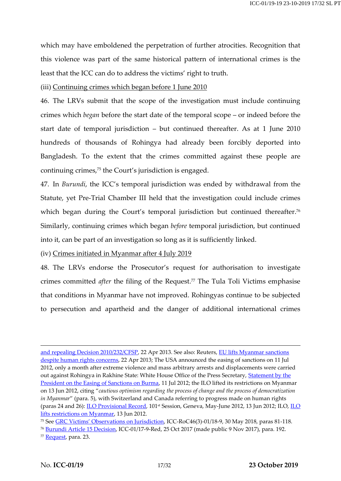which may have emboldened the perpetration of further atrocities. Recognition that this violence was part of the same historical pattern of international crimes is the least that the ICC can do to address the victims' right to truth.

#### (iii) Continuing crimes which began before 1 June 2010

46. The LRVs submit that the scope of the investigation must include continuing crimes which *began* before the start date of the temporal scope – or indeed before the start date of temporal jurisdiction – but continued thereafter. As at 1 June 2010 hundreds of thousands of Rohingya had already been forcibly deported into Bangladesh. To the extent that the crimes committed against these people are continuing crimes,<sup>75</sup> the Court's jurisdiction is engaged.

47. In *Burundi*, the ICC's temporal jurisdiction was ended by withdrawal from the Statute, yet Pre-Trial Chamber III held that the investigation could include crimes which began during the Court's temporal jurisdiction but continued thereafter.<sup>76</sup> Similarly, continuing crimes which began *before* temporal jurisdiction, but continued into it, can be part of an investigation so long as it is sufficiently linked.

#### (iv) Crimes initiated in Myanmar after 4 July 2019

48. The LRVs endorse the Prosecutor's request for authorisation to investigate crimes committed *after* the filing of the Request.<sup>77</sup> The Tula Toli Victims emphasise that conditions in Myanmar have not improved. Rohingyas continue to be subjected to persecution and apartheid and the danger of additional international crimes

[and repealing Decision 2010/232/CFSP,](https://eur-lex.europa.eu/LexUriServ/LexUriServ.do?uri=OJ:L:2013:111:0075:0076:EN:PDF) 22 Apr 2013. See also: Reuters, [EU lifts Myanmar sanctions](https://www.reuters.com/article/us-myanmar-eu/eu-lifts-myanmar-sanctions-despite-human-rights-concerns-idUSBRE93L11G20130422)  [despite human rights concerns,](https://www.reuters.com/article/us-myanmar-eu/eu-lifts-myanmar-sanctions-despite-human-rights-concerns-idUSBRE93L11G20130422) 22 Apr 2013; The USA announced the easing of sanctions on 11 Jul 2012, only a month after extreme violence and mass arbitrary arrests and displacements were carried out against Rohingya in Rakhine State: White House Office of the Press Secretary, Statement by the [President on the Easing of Sanctions on Burma,](https://obamawhitehouse.archives.gov/the-press-office/2012/07/11/statement-president-easing-sanctions-burma) 11 Jul 2012; the ILO lifted its restrictions on Myanmar on 13 Jun 2012, citing "*cautious optimism regarding the process of change and the process of democratization in Myanmar*" (para. 5), with Switzerland and Canada referring to progress made on human rights (paras 24 and 26): [ILO Provisional Record,](https://www.ilo.org/wcmsp5/groups/public/---ed_norm/---relconf/documents/meetingdocument/wcms_182971.pdf) 101<sup>st</sup> Session, Geneva, May-June 2012, 13 Jun 2012; ILO, ILO [lifts restrictions on Myanmar,](https://www.ilo.org/global/about-the-ilo/newsroom/news/WCMS_183287/lang--en/index.htm) 13 Jun 2012.

<sup>&</sup>lt;sup>75</sup> See **GRC Victims[' Observations on Jurisdiction](https://www.icc-cpi.int/CourtRecords/CR2018_02824.PDF)**, ICC-RoC46(3)-01/18-9, 30 May 2018, paras 81-118.

<sup>76</sup> [Burundi Article 15 Decision,](https://www.legal-tools.org/doc/8f2373/pdf/) ICC-01/17-9-Red, 25 Oct 2017 (made public 9 Nov 2017), para. 192.

<sup>77</sup> [Request,](https://www.legal-tools.org/doc/8a47a5/pdf/) para. 23.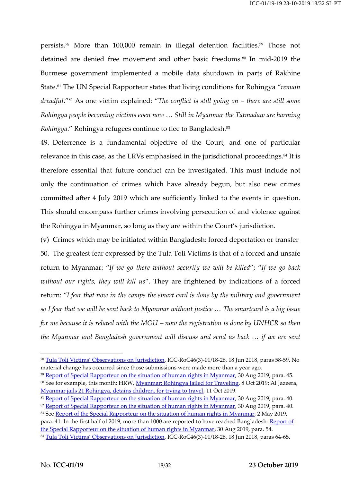persists. <sup>78</sup> More than 100,000 remain in illegal detention facilities. <sup>79</sup> Those not detained are denied free movement and other basic freedoms.<sup>80</sup> In mid-2019 the Burmese government implemented a mobile data shutdown in parts of Rakhine State.<sup>81</sup> The UN Special Rapporteur states that living conditions for Rohingya "*remain dreadful*."<sup>82</sup> As one victim explained: "*The conflict is still going on – there are still some Rohingya people becoming victims even now … Still in Myanmar the Tatmadaw are harming Rohingya*." Rohingya refugees continue to flee to Bangladesh.<sup>83</sup>

49. Deterrence is a fundamental objective of the Court, and one of particular relevance in this case, as the LRVs emphasised in the jurisdictional proceedings. <sup>84</sup> It is therefore essential that future conduct can be investigated. This must include not only the continuation of crimes which have already begun, but also new crimes committed after 4 July 2019 which are sufficiently linked to the events in question. This should encompass further crimes involving persecution of and violence against the Rohingya in Myanmar, so long as they are within the Court's jurisdiction.

(v) Crimes which may be initiated within Bangladesh: forced deportation or transfer 50. The greatest fear expressed by the Tula Toli Victims is that of a forced and unsafe return to Myanmar: "*If we go there without security we will be killed*"; "*If we go back without our rights, they will kill us*". They are frightened by indications of a forced return: "*I fear that now in the camps the smart card is done by the military and government* so I fear that we will be sent back to Myanmar without justice ... The smartcard is a big issue *for me because it is related with the MOU – now the registration is done by UNHCR so then the Myanmar and Bangladesh government will discuss and send us back … if we are sent*

<sup>78</sup> Tula To[li Victims' Observations on Jurisdiction](https://www.icc-cpi.int/CourtRecords/CR2018_03132.PDF), ICC-RoC46(3)-01/18-26, 18 Jun 2018, paras 58-59. No material change has occurred since those submissions were made more than a year ago.

<sup>&</sup>lt;sup>79</sup> [Report of Special Rapporteur on the situation of human rights in Myanmar,](https://undocs.org/A/74/342) 30 Aug 2019, para. 45.

<sup>80</sup> See for example, this month: HRW, *Myanmar: Rohingya Jailed for Traveling*, 8 Oct 2019; Al Jazeera, [Myanmar jails 21 Rohingya, detains children, for trying to travel,](https://www.aljazeera.com/news/2019/10/myanmar-jails-21-rohingya-detains-children-travel-191011000857911.html) 11 Oct 2019.

<sup>&</sup>lt;sup>81</sup> [Report of Special Rapporteur on the situation of human rights in Myanmar,](https://undocs.org/A/74/342) 30 Aug 2019, para. 40.

<sup>82</sup> [Report of Special Rapporteur on the situation of human rights in Myanmar,](https://undocs.org/A/74/342) 30 Aug 2019, para. 40.

<sup>83</sup> Se[e Report of the Special Rapporteur on the situation of human rights in Myanmar,](https://undocs.org/A/HRC/40/68) 2 May 2019,

para. 41. In the first half of 2019, more than 1000 are reported to have reached Bangladesh: Report of [the Special Rapporteur on the situation of human rights in Myanmar,](https://undocs.org/A/74/342) 30 Aug 2019, para. 54.

<sup>84</sup> [Tula Toli Victims' Observations on Jurisdiction](https://www.icc-cpi.int/CourtRecords/CR2018_03132.PDF), ICC-RoC46(3)-01/18-26, 18 Jun 2018, paras 64-65.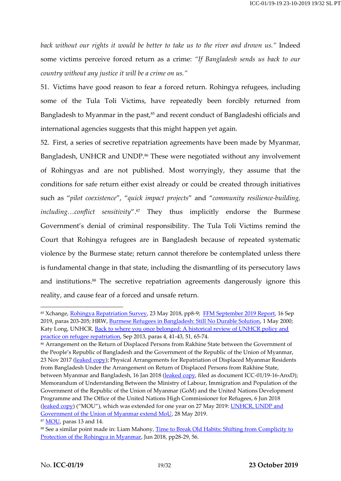*back without our rights it would be better to take us to the river and drown us."* Indeed some victims perceive forced return as a crime: *"If Bangladesh sends us back to our country without any justice it will be a crime on us."*

51. Victims have good reason to fear a forced return. Rohingya refugees, including some of the Tula Toli Victims, have repeatedly been forcibly returned from Bangladesh to Myanmar in the past,<sup>85</sup> and recent conduct of Bangladeshi officials and international agencies suggests that this might happen yet again.

52. First, a series of secretive repatriation agreements have been made by Myanmar, Bangladesh, UNHCR and UNDP. <sup>86</sup> These were negotiated without any involvement of Rohingyas and are not published. Most worryingly, they assume that the conditions for safe return either exist already or could be created through initiatives such as "*pilot coexistence*", "*quick impact projects*" and "*community resilience-building, including…conflict sensitivity*". <sup>87</sup> They thus implicitly endorse the Burmese Government's denial of criminal responsibility. The Tula Toli Victims remind the Court that Rohingya refugees are in Bangladesh because of repeated systematic violence by the Burmese state; return cannot therefore be contemplated unless there is fundamental change in that state, including the dismantling of its persecutory laws and institutions. <sup>88</sup> The secretive repatriation agreements dangerously ignore this reality, and cause fear of a forced and unsafe return.

<sup>85</sup> Xchange, [Rohingya Repatriation Survey,](http://xchange.org/wp-content/uploads/Repatriation-Survey-04.pdf) 23 May 2018, pp8-9; [FFM September 2019 Report,](https://www.ohchr.org/Documents/HRBodies/HRCouncil/FFM-Myanmar/20190916/A_HRC_42_CRP.5.pdf) 16 Sep 2019, paras 203-205; HRW, [Burmese Refugees in Bangladesh: Still No Durable Solution,](https://www.hrw.org/report/2000/05/01/burmese-refugees-bangladesh/still-no-durable-solution) 1 May 2000; Katy Long, UNHCR[, Back to where you once belonged: A historical review of UNHCR policy and](https://www.unhcr.org/uk/research/evalreports/5225d5de9/once-belonged-historical-review-unhcr-policy-practice-refugee-repatriation.html)  [practice on refugee repatriation,](https://www.unhcr.org/uk/research/evalreports/5225d5de9/once-belonged-historical-review-unhcr-policy-practice-refugee-repatriation.html) Sep 2013, paras 4, 41-43, 51, 65-74.

<sup>86</sup> Arrangement on the Return of Displaced Persons from Rakhine State between the Government of the People's Republic of Bangladesh and the Government of the Republic of the Union of Myanmar, 23 Nov 2017 [\(leaked copy\)](http://www.theindependentbd.com/assets/images/banner/linked_file/20171125094240.pdf); Physical Arrangements for Repatriation of Displaced Myanmar Residents from Bangladesh Under the Arrangement on Return of Displaced Persons from Rakhine State, between Myanmar and Bangladesh, 16 Jan 2018 [\(leaked copy,](https://www.icc-cpi.int/RelatedRecords/CR2019_06133.PDF) filed as document ICC-01/19-16-AnxD); Memorandum of Understanding Between the Ministry of Labour, Immigration and Population of the Government of the Republic of the Union of Myanmar (GoM) and the United Nations Development Programme and The Office of the United Nations High Commissioner for Refugees, 6 Jun 2018 [\(leaked copy](https://progressivevoicemyanmar.org/wp-content/uploads/2018/05/382854287-The-MOU-between-Myanmar-Government-and-UNDP-and-UNHCR.pdf)) ("MOU"), which was extended for one year on 27 May 2019: UNHCR, UNDP and Government [of the Union of Myanmar extend MoU,](https://www.mm.undp.org/content/myanmar/en/home/presscenter/pressreleases/2019/unhcr-undp-government-of-the-union-of-myanmar-extend-mou.html) 28 May 2019.

<sup>&</sup>lt;sup>87</sup> [MOU,](https://progressivevoicemyanmar.org/wp-content/uploads/2018/05/382854287-The-MOU-between-Myanmar-Government-and-UNDP-and-UNHCR.pdf) paras 13 and 14.

<sup>88</sup> See a similar point made in: Liam Mahony, Time to Break Old Habits: Shifting from Complicity to [Protection of the Rohingya in Myanmar,](http://www.fieldviewsolutions.org/fv-publications/Time_to_break_old_habits.pdf) Jun 2018, pp28-29, 56.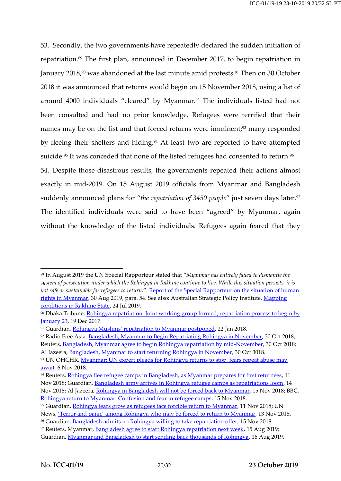53. Secondly, the two governments have repeatedly declared the sudden initiation of repatriation. <sup>89</sup> The first plan, announced in December 2017, to begin repatriation in January 2018,<sup>90</sup> was abandoned at the last minute amid protests.<sup>91</sup> Then on 30 October 2018 it was announced that returns would begin on 15 November 2018, using a list of around 4000 individuals "cleared" by Myanmar. <sup>92</sup> The individuals listed had not been consulted and had no prior knowledge. Refugees were terrified that their names may be on the list and that forced returns were imminent;<sup>93</sup> many responded by fleeing their shelters and hiding. <sup>94</sup> At least two are reported to have attempted suicide.<sup>95</sup> It was conceded that none of the listed refugees had consented to return.<sup>96</sup>

54. Despite those disastrous results, the governments repeated their actions almost exactly in mid-2019. On 15 August 2019 officials from Myanmar and Bangladesh suddenly announced plans for "*the repatriation of 3450 people*" just seven days later. 97 The identified individuals were said to have been "agreed" by Myanmar, again without the knowledge of the listed individuals. Refugees again feared that they

<sup>96</sup> Guardian, [Bangladesh admits no Rohingya willing to take repatriation offer,](https://www.theguardian.com/world/2018/nov/15/rohingya-refugee-repatriations-bangladesh-myanmar) 15 Nov 2018.

<sup>89</sup> In August 2019 the UN Special Rapporteur stated that "*Myanmar has entirely failed to dismantle the system of persecution under which the Rohingya in Rakhine continue to live. While this situation persists, it is not safe or sustainable for refugees to return.*": [Report of the Special Rapporteur on the situation of human](https://undocs.org/A/74/342)  [rights in Myanmar,](https://undocs.org/A/74/342) 30 Aug 2019, para. 54. See also: Australian Strategic Policy Institute, [Mapping](https://pageflow.aspi.org.au/rakhine-state/#211793)  [conditions in Rakhine State,](https://pageflow.aspi.org.au/rakhine-state/#211793) 24 Jul 2019.

<sup>90</sup> Dhaka Tribune, [Rohingya repatriation: Joint working group formed, repatriation process to begin by](https://www.dhakatribune.com/bangladesh/foreign-affairs/2017/12/19/bangladesh-myanmar-joint-working-group-formed-repatriate-rohingyas)  **[January 23,](https://www.dhakatribune.com/bangladesh/foreign-affairs/2017/12/19/bangladesh-myanmar-joint-working-group-formed-repatriate-rohingyas) 19 Dec 2017.** 

<sup>&</sup>lt;sup>91</sup> Guardian, [Rohingya Muslims' repatriation to Myanmar postponed](https://www.theguardian.com/world/2018/jan/22/rohingya-muslims-repatriation-back-to-myanmar-postponed), 22 Jan 2018.

<sup>92</sup> Radio Free Asia[, Bangladesh, Myanmar to Begin Repatriating Rohingya in November,](https://www.rfa.org/english/news/myanmar/bangladesh-refugees-10302018172433.html) 30 Oct 2018; Reuters[, Bangladesh, Myanmar agree to begin Rohingya repatriation by mid-November,](https://www.reuters.com/article/us-myanmar-rohingya/bangladesh-myanmar-agree-to-begin-rohingya-repatriation-by-mid-november-idUSKCN1N414Q) 30 Oct 2018; Al Jazeera, [Bangladesh, Myanmar to start returning Rohingya in November,](https://www.aljazeera.com/news/2018/10/bangladesh-myanmar-start-returning-rohingya-november-181030111704845.html) 30 Oct 3018.

<sup>93</sup> UN OHCHR, Myanmar: UN expert pleads for Rohingya returns to stop, fears repeat abuse may [await,](https://www.ohchr.org/EN/NewsEvents/Pages/DisplayNews.aspx?NewsID=23837&LangID=E) 6 Nov 2018.

<sup>94</sup> Reuters, [Rohingya flee refugee camps in Bangladesh, as Myanmar prepares for first returnees,](https://www.reuters.com/article/us-myanmar-rohingya/rohingya-flee-refugee-camps-in-bangladesh-as-myanmar-prepares-for-first-returnees-idUSKCN1NG0R2) 11 Nov 2018; Guardian, [Bangladesh army arrives in Rohingya refugee camps as repatriations loom,](https://www.theguardian.com/world/2018/nov/14/bangladesh-army-arrives-in-rohingya-refugee-camps-as-repatriations-loom) 14 Nov 2018; Al Jazeera, [Rohingya in Bangladesh will not be forced back to Myanmar,](https://www.aljazeera.com/news/2018/11/mounting-confusion-forced-rohingya-repatriation-myanmar-181115013128968.html) 15 Nov 2018; BBC, [Rohingya return to Myanmar: Confusion and fear in refugee camps,](https://www.bbc.co.uk/news/world-asia-46217505) 15 Nov 2018.

<sup>95</sup> Guardian, [Rohingya fears grow as refugees face forcible return to Myanmar,](https://www.theguardian.com/world/2018/nov/11/rohingya-myanmar-bangladesh-genocide-repatriation-un-warning) 11 Nov 2018; UN News, 'Terror and panic' among R[ohingya who may be forced to return to Myanmar,](https://news.un.org/en/story/2018/11/1025651) 13 Nov 2018.

<sup>97</sup> Reuters, Myanmar, [Bangladesh agree to start Rohingya repatriation next week,](https://www.reuters.com/article/us-myanmar-rohingya-exclusive/exclusive-myanmar-bangladesh-agree-to-start-rohingya-repatriation-next-week-idUSKCN1V51O5) 15 Aug 2019; Guardian, [Myanmar and Bangladesh to start sending back thousands of Rohingya,](https://www.theguardian.com/world/2019/aug/16/myanmar-and-bangladesh-to-start-sending-back-thousands-of-rohingya) 16 Aug 2019.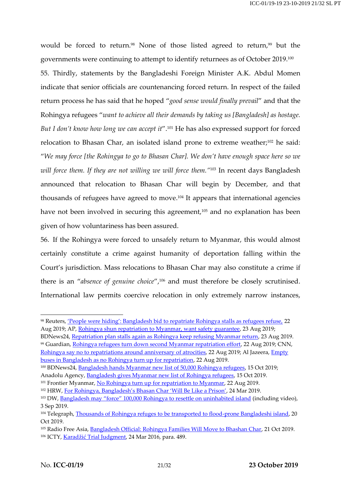would be forced to return.<sup>98</sup> None of those listed agreed to return,<sup>99</sup> but the governments were continuing to attempt to identify returnees as of October 2019.<sup>100</sup> 55. Thirdly, statements by the Bangladeshi Foreign Minister A.K. Abdul Momen indicate that senior officials are countenancing forced return. In respect of the failed return process he has said that he hoped "*good sense would finally prevail*" and that the Rohingya refugees "*want to achieve all their demands by taking us [Bangladesh] as hostage. But I don't know how long we can accept it*".<sup>101</sup> He has also expressed support for forced relocation to Bhasan Char, an isolated island prone to extreme weather; <sup>102</sup> he said: "*We may force [the Rohingya to go to Bhasan Char]. We don't have enough space here so we will force them. If they are not willing we will force them."*<sup>103</sup> In recent days Bangladesh announced that relocation to Bhasan Char will begin by December, and that thousands of refugees have agreed to move. <sup>104</sup> It appears that international agencies have not been involved in securing this agreement,<sup>105</sup> and no explanation has been given of how voluntariness has been assured.

56. If the Rohingya were forced to unsafely return to Myanmar, this would almost certainly constitute a crime against humanity of deportation falling within the Court's jurisdiction. Mass relocations to Bhasan Char may also constitute a crime if there is an "*absence of genuine choice*", <sup>106</sup> and must therefore be closely scrutinised. International law permits coercive relocation in only extremely narrow instances,

BDNews24, [Repatriation plan stalls again as Rohingya keep refusing Myanmar return,](https://bdnews24.com/bangladesh/2019/08/23/repatriation-plan-stalls-again-as-rohingya-keep-refusing-myanmar-return) 23 Aug 2019. <sup>99</sup> Guardian, [Rohingya refugees turn down second Myanmar repatriation effort,](https://www.theguardian.com/world/2019/aug/22/rohingya-refugees-turn-down-second-myanmar-repatriation-effort) 22 Aug 2019; CNN, [Rohingya say no to repatriations around anniversary of atrocities,](https://edition.cnn.com/2019/08/22/asia/rohingya-repatriation-myanmar-concern-intl-hnk/index.html) 22 Aug 2019; Al Jazeera, *Empty* [buses in Bangladesh as no Rohingya turn up for repatriation,](https://www.aljazeera.com/news/2019/08/empty-buses-bangladesh-rohingya-turn-repatriation-190822055219357.html) 22 Aug 2019.

<sup>98</sup> Reuters, ['People were hiding': Bangladesh bid to repatriate Rohingya stalls as refugees refuse,](https://uk.reuters.com/article/uk-myanmar-rohingya/people-were-hiding-bangladesh-bid-to-repatriate-rohingya-stalls-as-refugees-refuse-idUKKCN1VC1FF) 22 Aug 2019; AP[, Rohingya shun repatriation to Myanmar, want safety guarantee,](https://www.apnews.com/821872d3fe0543c184789a7138e4ccb5) 23 Aug 2019;

<sup>&</sup>lt;sup>100</sup> BDNews24, [Bangladesh hands Myanmar new list of 50,000 Rohingya refugees,](https://bdnews24.com/bangladesh/2019/10/15/bangladesh-hands-myanmar-new-list-of-50000-rohingya-refugees) 15 Oct 2019; Anadolu Agency, [Bangladesh gives Myanmar new list of Rohingya refugees,](https://www.aa.com.tr/en/asia-pacific/bangladesh-gives-myanmar-new-list-of-rohingya-refugees/1615103) 15 Oct 2019.

<sup>&</sup>lt;sup>101</sup> Frontier Myanmar, [No Rohingya turn up for repatriation to Myanmar,](https://frontiermyanmar.net/en/no-rohingya-turn-up-for-repatriation-to-myanmar) 22 Aug 2019.

<sup>102</sup> HRW, [For Rohingya, Bangladesh's Bhasan Char 'Will Be Like a Prison'](https://www.hrw.org/news/2019/03/15/rohingya-bangladeshs-bhasan-char-will-be-prison), 24 Mar 2019.

<sup>&</sup>lt;sup>103</sup> DW, [Bangladesh may "force" 100,000 Rohingya to resettle on uninhabited island](https://www.dw.com/en/bangladesh-may-force-100000-rohingya-to-resettle-on-uninhabited-island/a-50256755) (including video), 3 Sep 2019.

<sup>104</sup> Telegraph, [Thousands of Rohingya refuges to be transported to flood-prone Bangladeshi island,](https://www.telegraph.co.uk/news/2019/10/20/thousands-rohingya-refugees-transported-flood-prone-bangladeshi/) 20 Oct 2019.

<sup>&</sup>lt;sup>105</sup> Radio Free Asia[, Bangladesh Official: Rohingya Families Will Move to Bhashan Char,](https://www.rfa.org/english/news/myanmar/bangladesh-rohingya-10212019172102.html) 21 Oct 2019. <sup>106</sup> ICTY, Karadžić [Trial Judgment,](https://www.legal-tools.org/doc/173e23/pdf) 24 Mar 2016, para. 489.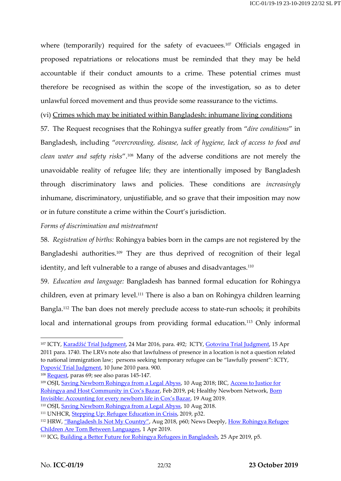where (temporarily) required for the safety of evacuees.<sup>107</sup> Officials engaged in proposed repatriations or relocations must be reminded that they may be held accountable if their conduct amounts to a crime. These potential crimes must therefore be recognised as within the scope of the investigation, so as to deter unlawful forced movement and thus provide some reassurance to the victims.

(vi) Crimes which may be initiated within Bangladesh: inhumane living conditions

57. The Request recognises that the Rohingya suffer greatly from "*dire conditions*" in Bangladesh, including "*overcrowding, disease, lack of hygiene, lack of access to food and clean water and safety risks*".<sup>108</sup> Many of the adverse conditions are not merely the unavoidable reality of refugee life; they are intentionally imposed by Bangladesh through discriminatory laws and policies. These conditions are *increasingly* inhumane, discriminatory, unjustifiable, and so grave that their imposition may now or in future constitute a crime within the Court's jurisdiction.

### *Forms of discrimination and mistreatment*

58. *Registration of births:* Rohingya babies born in the camps are not registered by the Bangladeshi authorities.<sup>109</sup> They are thus deprived of recognition of their legal identity, and left vulnerable to a range of abuses and disadvantages.<sup>110</sup>

59. *Education and language:* Bangladesh has banned formal education for Rohingya children, even at primary level.<sup>111</sup> There is also a ban on Rohingya children learning Bangla.<sup>112</sup> The ban does not merely preclude access to state-run schools; it prohibits local and international groups from providing formal education.<sup>113</sup> Only informal

<sup>&</sup>lt;sup>107</sup> ICTY, Karadžić [Trial Judgment,](https://www.legal-tools.org/doc/173e23/pdf) 24 Mar 2016, para. 492; ICTY, [Gotovina Trial Judgment,](https://www.legal-tools.org/doc/86922c/pdf/) 15 Apr 2011 para. 1740. The LRVs note also that lawfulness of presence in a location is not a question related to national immigration law; persons seeking temporary refugee can be "lawfully present": ICTY, Popović [Trial Judgment,](https://www.legal-tools.org/doc/481867/pdf/) 10 June 2010 para. 900.

<sup>&</sup>lt;sup>108</sup> [Request,](https://www.legal-tools.org/doc/8a47a5/pdf/) paras 69; see also paras 145-147.

<sup>109</sup> OSJI, [Saving Newborn Rohingya from a Legal Abyss,](https://www.justiceinitiative.org/voices/saving-newborn-rohingya-legal-abyss) 10 Aug 2018; IRC, [Access to Justice for](https://www.rescue.org/report/access-justice-rohingya-and-host-community-coxs-bazar)  [Rohingya and Host Community in Cox's Bazar](https://www.rescue.org/report/access-justice-rohingya-and-host-community-coxs-bazar), Feb 2019, p4; Healthy Newborn Network, [Born](https://www.healthynewbornnetwork.org/blog/born-invisible-accounting-for-every-newborn-life-in-coxs-bazar/)  [Invisible: Accounting for every newborn life in Cox's Bazar](https://www.healthynewbornnetwork.org/blog/born-invisible-accounting-for-every-newborn-life-in-coxs-bazar/), 19 Aug 2019.

<sup>&</sup>lt;sup>110</sup> OSJI, [Saving Newborn Rohingya from a Legal Abyss,](https://www.justiceinitiative.org/voices/saving-newborn-rohingya-legal-abyss) 10 Aug 2018.

<sup>&</sup>lt;sup>111</sup> UNHCR, **Stepping Up: Refugee Education in Crisis**, 2019, p32.

<sup>&</sup>lt;sup>112</sup> HRW, ["Bangladesh Is Not My Country"](https://www.hrw.org/sites/default/files/report_pdf/bangladesh0818_web2.pdf), Aug 2018, p60; News Deeply, How Rohingya Refugee [Children Are Torn Between Languages,](https://www.newsdeeply.com/refugees/articles/2019/04/01/how-rohingya-refugee-children-are-torn-between-languages) 1 Apr 2019.

<sup>113</sup> ICG, [Building a Better Future for Rohingya Refugees in Bangladesh,](https://www.crisisgroup.org/asia/south-east-asia/myanmar/b155-building-better-future-rohingya-refugees-bangladesh) 25 Apr 2019, p5.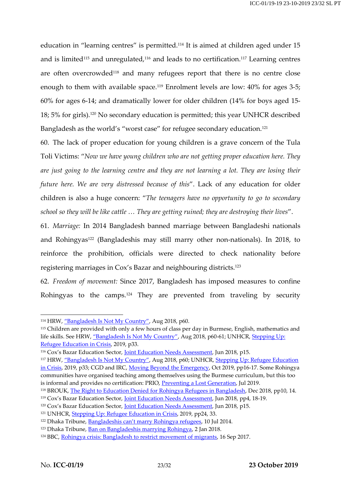education in "learning centres" is permitted.<sup>114</sup> It is aimed at children aged under 15 and is limited<sup>115</sup> and unregulated,<sup>116</sup> and leads to no certification.<sup>117</sup> Learning centres are often overcrowded<sup>118</sup> and many refugees report that there is no centre close enough to them with available space.<sup>119</sup> Enrolment levels are low: 40% for ages 3-5; 60% for ages 6-14; and dramatically lower for older children (14% for boys aged 15- 18; 5% for girls).<sup>120</sup> No secondary education is permitted; this year UNHCR described Bangladesh as the world's "worst case" for refugee secondary education.<sup>121</sup>

60. The lack of proper education for young children is a grave concern of the Tula Toli Victims: "*Now we have young children who are not getting proper education here. They are just going to the learning centre and they are not learning a lot. They are losing their future here. We are very distressed because of this*". Lack of any education for older children is also a huge concern: "*The teenagers have no opportunity to go to secondary school so they will be like cattle … They are getting ruined; they are destroying their lives*".

61. *Marriage:* In 2014 Bangladesh banned marriage between Bangladeshi nationals and Rohingyas<sup>122</sup> (Bangladeshis may still marry other non-nationals). In 2018, to reinforce the prohibition, officials were directed to check nationality before registering marriages in Cox's Bazar and neighbouring districts.<sup>123</sup>

62. *Freedom of movement:* Since 2017, Bangladesh has imposed measures to confine Rohingyas to the camps.<sup>124</sup> They are prevented from traveling by security

<sup>&</sup>lt;sup>114</sup> HRW, ["Bangladesh Is Not My Country"](https://www.hrw.org/sites/default/files/report_pdf/bangladesh0818_web2.pdf), Aug 2018, p60.

<sup>115</sup> Children are provided with only a few hours of class per day in Burmese, English, mathematics and life skills. See HRW, ["Bangladesh Is Not My Country"](https://www.hrw.org/sites/default/files/report_pdf/bangladesh0818_web2.pdf), Aug 2018, p60-61; UNHCR, Stepping Up: [Refugee Education in Crisis,](https://www.unhcr.org/steppingup/wp-content/uploads/sites/76/2019/09/Education-Report-2019-Final-web-9.pdf) 2019, p33.

<sup>&</sup>lt;sup>116</sup> Cox's Bazar Education Sector, *Joint Education Needs Assessment*, Jun 2018, p15.

<sup>&</sup>lt;sup>117</sup> HRW, ["Bangladesh Is Not My Country"](https://www.hrw.org/sites/default/files/report_pdf/bangladesh0818_web2.pdf), Aug 2018, p60; UNHCR, Stepping Up: Refugee Education [in Crisis,](https://www.unhcr.org/steppingup/wp-content/uploads/sites/76/2019/09/Education-Report-2019-Final-web-9.pdf) 2019, p33; CGD and IRC, [Moving Beyond the Emergency,](https://www.cgdev.org/sites/default/files/moving-beyond-emergency-whole-society-approach-refugee-response-bangladesh.pdf) Oct 2019, pp16-17. Some Rohingya communities have organised teaching among themselves using the Burmese curriculum, but this too is informal and provides no certification: PRIO, [Preventing a Lost Generation,](https://www.prio.org/utility/DownloadFile.ashx?id=1852&type=publicationfile) Jul 2019.

<sup>&</sup>lt;sup>118</sup> BROUK, [The Right to Education Denied for Rohingya Refugees in Bangladesh,](https://burmacampaign.org.uk/media/The-Right-to-Education-Denied-for-Rohingya-Refugees-in-Bangladesh.pdf) Dec 2018, pp10, 14.

<sup>&</sup>lt;sup>119</sup> Cox's Bazar Education Sector, <u>Joint Education Needs Assessment</u>, Jun 2018, pp4, 18-19.

<sup>&</sup>lt;sup>120</sup> Cox's Bazar Education Sector, *Joint Education Needs Assessment*, Jun 2018, p15.

<sup>&</sup>lt;sup>121</sup> UNHCR, [Stepping Up: Refugee](https://www.unhcr.org/steppingup/wp-content/uploads/sites/76/2019/09/Education-Report-2019-Final-web-9.pdf) Education in Crisis, 2019, pp24, 33.

<sup>&</sup>lt;sup>122</sup> Dhaka Tribune, [Bangladeshis can't marry Rohingya refugees](https://www.dhakatribune.com/uncategorized/2014/07/10/bangladeshis-cant-marry-rohingya-refugees), 10 Jul 2014.

<sup>123</sup> Dhaka Tribune, [Ban on Bangladeshis marrying Rohingya,](https://www.dhakatribune.com/opinion/special/2018/01/02/ban-bangladeshis-marrying-rohingya-justified-human-rights-violation) 2 Jan 2018.

<sup>124</sup> BBC, Rohingya [crisis: Bangladesh to restrict movement of migrants,](https://www.bbc.co.uk/news/world-asia-41291650) 16 Sep 2017.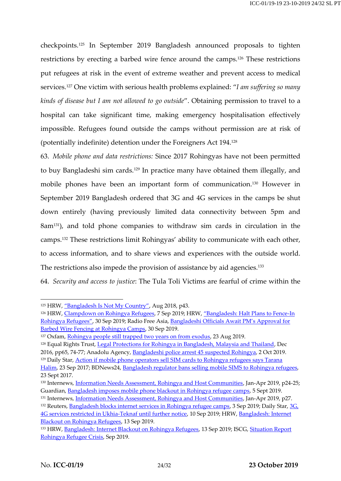checkpoints.<sup>125</sup> In September 2019 Bangladesh announced proposals to tighten restrictions by erecting a barbed wire fence around the camps.<sup>126</sup> These restrictions put refugees at risk in the event of extreme weather and prevent access to medical services. <sup>127</sup> One victim with serious health problems explained: "*I am suffering so many kinds of disease but I am not allowed to go outside*". Obtaining permission to travel to a hospital can take significant time, making emergency hospitalisation effectively impossible. Refugees found outside the camps without permission are at risk of (potentially indefinite) detention under the Foreigners Act 194.<sup>128</sup>

63. *Mobile phone and data restrictions:* Since 2017 Rohingyas have not been permitted to buy Bangladeshi sim cards.<sup>129</sup> In practice many have obtained them illegally, and mobile phones have been an important form of communication.<sup>130</sup> However in September 2019 Bangladesh ordered that 3G and 4G services in the camps be shut down entirely (having previously limited data connectivity between 5pm and 8am131), and told phone companies to withdraw sim cards in circulation in the camps.<sup>132</sup> These restrictions limit Rohingyas' ability to communicate with each other, to access information, and to share views and experiences with the outside world. The restrictions also impede the provision of assistance by aid agencies.<sup>133</sup>

64. *Security and access to justice*: The Tula Toli Victims are fearful of crime within the

<sup>&</sup>lt;sup>125</sup> HRW, ["Bangladesh Is Not My Country"](https://www.hrw.org/sites/default/files/report_pdf/bangladesh0818_web2.pdf), Aug 2018, p43.

<sup>126</sup> HRW, [Clampdown on Rohingya Refugees,](https://www.hrw.org/news/2019/09/07/bangladesh-clampdown-rohingya-refugees) 7 Sep 2019; HRW, ["Bangladesh: Halt Plans to Fence](https://www.hrw.org/news/2019/09/30/bangladesh-halt-plans-fence-rohingya-refugees)-In [Rohingya Refugees"](https://www.hrw.org/news/2019/09/30/bangladesh-halt-plans-fence-rohingya-refugees), 30 Sep 2019; Radio Free Asia, [Bangladeshi Officials Await PM's Approval for](https://www.rfa.org/english/news/myanmar/bangladesh-rohingya-09302019172434.html)  [Barbed Wire Fencing at Rohingya Camps,](https://www.rfa.org/english/news/myanmar/bangladesh-rohingya-09302019172434.html) 30 Sep 2019.

<sup>&</sup>lt;sup>127</sup> Oxfam, [Rohingya people still trapped two years on from exodus,](https://oxfamapps.org/media/press_release/rohingya-people-still-trapped-two-years-on-from-exodus-oxfam/) 23 Aug 2019.

<sup>&</sup>lt;sup>128</sup> Equal Rights Trust, [Legal Protections for Rohingya in Bangladesh, Malaysia and Thailand,](https://www.equalrightstrust.org/ertdocumentbank/Confined%20Spaces_0.pdf) Dec

<sup>2016,</sup> pp65, 74-77; Anadolu Agency, [Bangladeshi police arrest 45 suspected Rohingya,](https://www.aa.com.tr/en/asia-pacific/bangladeshi-police-arrest-45-suspected-rohingya/1600111) 2 Oct 2019.

<sup>&</sup>lt;sup>129</sup> Daily Star, **Action if mobile phone operators sell SIM cards to Rohingya refugees says Tarana** [Halim,](https://www.thedailystar.net/world/rohingya-crisis/action-if-mobile-phone-operators-sell-sim-cards-refugees-tarana-halim-btrc-1466452) 23 Sep 2017; BDNews24, [Bangladesh regulator bans selling mobile SIMS to Rohingya](https://bdnews24.com/bangladesh/2017/09/23/bangladesh-regulator-bans-selling-mobile-sims-to-rohingya-refugees) refugees, 23 Sept 2017.

<sup>&</sup>lt;sup>130</sup> Internews, *Information Needs Assessment*, *Rohingya and Host Communities*, Jan-Apr 2019, p24-25; Guardian, [Bangladesh imposes mobile phone blackout in Rohingya refugee camps,](https://www.theguardian.com/global-development/2019/sep/05/bangladesh-imposes-mobile-phone-blackout-in-rohingya-refugee-camps) 5 Sept 2019.

<sup>&</sup>lt;sup>131</sup> Internews, *Information Needs Assessment*, *Rohingya and Host Communities*, Jan-Apr 2019, p27.

<sup>132</sup> Reuters, [Bangladesh blocks internet services in Rohingya refugee camps,](https://uk.reuters.com/article/uk-bangladesh-rohingya/bangladesh-blocks-internet-services-in-rohingya-refugee-camps-idUKKCN1VO1WS) 3 Sep 2019; Daily Star, 3G, [4G services restricted in Ukhia-Teknaf until further notice,](https://www.thedailystar.net/rohingya-crisis/news/3g-4g-services-restricted-ukhia-teknaf-until-further-notice-1798249) 10 Sep 2019; HRW, Bangladesh: Internet [Blackout on Rohingya Refugees,](https://www.hrw.org/news/2019/09/13/bangladesh-internet-blackout-rohingya-refugees) 13 Sep 2019.

<sup>133</sup> HRW, [Bangladesh: Internet Blackout on Rohingya Refugees,](https://www.hrw.org/news/2019/09/13/bangladesh-internet-blackout-rohingya-refugees) 13 Sep 2019; ISCG, [Situation Report](https://www.humanitarianresponse.info/sites/www.humanitarianresponse.info/files/documents/files/sitrep_september_2019_final.pdf)  [Rohingya Refugee Crisis,](https://www.humanitarianresponse.info/sites/www.humanitarianresponse.info/files/documents/files/sitrep_september_2019_final.pdf) Sep 2019.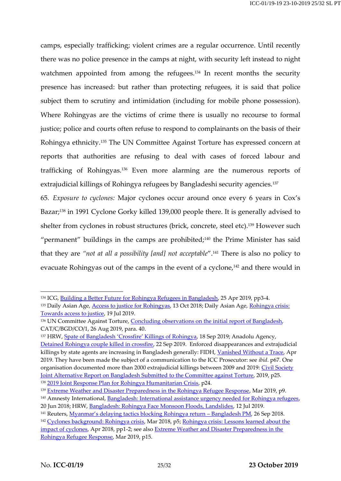camps, especially trafficking; violent crimes are a regular occurrence. Until recently there was no police presence in the camps at night, with security left instead to night watchmen appointed from among the refugees.<sup>134</sup> In recent months the security presence has increased: but rather than protecting refugees, it is said that police subject them to scrutiny and intimidation (including for mobile phone possession). Where Rohingyas are the victims of crime there is usually no recourse to formal justice; police and courts often refuse to respond to complainants on the basis of their Rohingya ethnicity.<sup>135</sup> The UN Committee Against Torture has expressed concern at reports that authorities are refusing to deal with cases of forced labour and trafficking of Rohingyas. <sup>136</sup> Even more alarming are the numerous reports of extrajudicial killings of Rohingya refugees by Bangladeshi security agencies.<sup>137</sup>

65. *Exposure to cyclones:* Major cyclones occur around once every 6 years in Cox's Bazar;<sup>138</sup> in 1991 Cyclone Gorky killed 139,000 people there. It is generally advised to shelter from cyclones in robust structures (brick, concrete, steel etc).<sup>139</sup> However such "permanent" buildings in the camps are prohibited; $140$  the Prime Minister has said that they are *"not at all a possibility [and] not acceptable*".<sup>141</sup> There is also no policy to evacuate Rohingyas out of the camps in the event of a cyclone,<sup>142</sup> and there would in

<sup>&</sup>lt;sup>134</sup> ICG, [Building a Better Future for Rohingya Refugees in Bangladesh,](https://www.crisisgroup.org/asia/south-east-asia/myanmar/b155-building-better-future-rohingya-refugees-bangladesh) 25 Apr 2019, pp3-4.

<sup>&</sup>lt;sup>135</sup> Daily Asian Age, **Access to justice for Rohingyas**, 13 Oct 2018; Daily Asian Age, Rohingya crisis: [Towards access to justice,](https://dailyasianage.com/news/187297/rohingya-crisis-towards-access-to-justice) 19 Jul 2019.

<sup>136</sup> UN Committee Against Torture, [Concluding observations on the initial report of Bangladesh,](https://undocs.org/CAT/C/BGD/CO/1) CAT/C/BGD/CO/1, 26 Aug 2019, para. 40.

<sup>137</sup> HRW, Spate of Banglades[h 'Crossfire' Killings of Rohingya](https://www.hrw.org/news/2019/09/18/spate-bangladesh-crossfire-killings-rohingya), 18 Sep 2019; Anadolu Agency, [Detained Rohingya couple killed in crossfire,](https://www.aa.com.tr/en/asia-pacific/detained-rohingya-couple-killed-in-crossfire/1590746) 22 Sep 2019. Enforced disappearances and extrajudicial killings by state agents are increasing in Bangladesh generally: FIDH, [Vanished Without a Trace,](https://www.fidh.org/IMG/pdf/bangladesh735a_web.pdf) Apr 2019. They have been made the subject of a communication to the ICC Prosecutor: see *ibid*. p67. One organisation documented more than 2000 extrajudicial killings between 2009 and 2019: Civil Society [Joint Alternative Report on Bangladesh Submitted to the Committee against Torture,](https://www.fidh.org/IMG/pdf/fidh_-_joint_submission_for_un_cat_-_june_2019.pdf) 2019, p25. <sup>138</sup> [2019 Joint Response Plan for Rohingya Humanitarian Crisis,](http://reporting.unhcr.org/sites/default/files/2019%20JRP%20for%20Rohingya%20Humanitarian%20Crisis%20%28February%202019%29.comp_.pdf) p24.

<sup>&</sup>lt;sup>139</sup> [Extreme Weather and Disaster Preparedness in the Rohingya Refugee Response,](https://reliefweb.int/sites/reliefweb.int/files/resources/undp_bdrcs_arc_ifrc_cyclone_seasons_preparedness_final.pdf) Mar 2019, p9.

<sup>&</sup>lt;sup>140</sup> Amnesty International, [Bangladesh: International assistance urgency needed for Rohingya refugees,](https://www.amnesty.org/en/latest/news/2018/06/refugee-day-bangladesh-rohingya/)

<sup>20</sup> Jun 2018; HRW, [Bangladesh: Rohingya Face Monsoon Floods, Landslides,](https://www.hrw.org/news/2019/07/12/bangladesh-rohingya-face-monsoon-floods-landslides) 12 Jul 2019.

<sup>&</sup>lt;sup>141</sup> Reuters, *[Myanmar's delaying tactics blocking Rohingya return –](https://www.reuters.com/article/us-bangladesh-politics-exclusive/exclusive-myanmars-delaying-tactics-blocking-rohingya-return-bangladesh-pm-idUSKCN1M60NL) Bangladesh PM, 26 Sep 2018.* <sup>142</sup> [Cyclones background: Rohingya crisis,](https://www.acaps.org/sites/acaps/files/products/files/20180326_npm-acaps_analysis_hub_thematic_report_cyclones_background_rohingya_crisis.pdf) Mar 2018, p5; Rohingya crisis: Lessons learned about the [impact of cyclones,](https://www.acaps.org/sites/acaps/files/products/files/20180404_npm_acaps_analysis_hub_lessons_learned_cyclones.pdf) Apr 2018, pp1-2; see also [Extreme Weather and Disaster Preparedness in the](https://reliefweb.int/sites/reliefweb.int/files/resources/undp_bdrcs_arc_ifrc_cyclone_seasons_preparedness_final.pdf)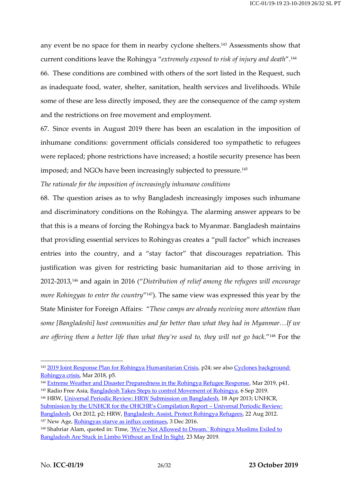any event be no space for them in nearby cyclone shelters.<sup>143</sup> Assessments show that current conditions leave the Rohingya "*extremely exposed to risk of injury and death*".<sup>144</sup> 66. These conditions are combined with others of the sort listed in the Request, such as inadequate food, water, shelter, sanitation, health services and livelihoods. While some of these are less directly imposed, they are the consequence of the camp system and the restrictions on free movement and employment.

67. Since events in August 2019 there has been an escalation in the imposition of inhumane conditions: government officials considered too sympathetic to refugees were replaced; phone restrictions have increased; a hostile security presence has been imposed; and NGOs have been increasingly subjected to pressure.<sup>145</sup>

*The rationale for the imposition of increasingly inhumane conditions*

68. The question arises as to why Bangladesh increasingly imposes such inhumane and discriminatory conditions on the Rohingya. The alarming answer appears to be that this is a means of forcing the Rohingya back to Myanmar. Bangladesh maintains that providing essential services to Rohingyas creates a "pull factor" which increases entries into the country, and a "stay factor" that discourages repatriation. This justification was given for restricting basic humanitarian aid to those arriving in 2012-2013,<sup>146</sup> and again in 2016 ("*Distribution of relief among the refugees will encourage more Rohingyas to enter the country*" <sup>147</sup>). The same view was expressed this year by the State Minister for Foreign Affairs: "*These camps are already receiving more attention than some [Bangladeshi] host communities and far better than what they had in Myanmar…If we are offering them a better life than what they're used to, they will not go back.*" <sup>148</sup> For the

<sup>&</sup>lt;sup>143</sup> [2019 Joint Response Plan for Rohingya Humanitarian Crisis,](http://reporting.unhcr.org/sites/default/files/2019%20JRP%20for%20Rohingya%20Humanitarian%20Crisis%20%28February%202019%29.comp_.pdf) p24; see also Cyclones background: [Rohingya crisis,](https://www.acaps.org/sites/acaps/files/products/files/20180326_npm-acaps_analysis_hub_thematic_report_cyclones_background_rohingya_crisis.pdf) Mar 2018, p5.

<sup>&</sup>lt;sup>144</sup> [Extreme Weather and Disaster Preparedness in the Rohingya Refugee Response,](https://reliefweb.int/sites/reliefweb.int/files/resources/undp_bdrcs_arc_ifrc_cyclone_seasons_preparedness_final.pdf) Mar 2019, p41.

<sup>&</sup>lt;sup>145</sup> Radio Free Asia[, Bangladesh Takes Steps to control Movement of Rohingya,](https://www.rfa.org/english/news/myanmar/bangladesh-rohingya-09062019174704.html) 6 Sep 2019.

<sup>146</sup> HRW, [Universal Periodic Review: HRW Submission on Bangladesh,](https://www.hrw.org/news/2013/04/18/universal-periodic-review-hrw-submission-bangladesh) 18 Apr 2013; UNHCR,

Submission by the UNHCR for the OHCHR's Compilation Report - Universal Periodic Review: [Bangladesh,](https://www.refworld.org/pdfid/508640242.pdf) Oct 2012, p2; HRW, [Bangladesh: Assist, Protect Rohingya Refugees,](https://www.hrw.org/news/2012/08/22/bangladesh-assist-protect-rohingya-refugees) 22 Aug 2012. <sup>147</sup> New Age, [Rohingyas starve as influx continues,](http://www.newagebd.net/article/4010/articlelist/323/article/article/35972) 3 Dec 2016.

<sup>&</sup>lt;sup>148</sup> Shahriar Alam, quoted in: Time, <u>'We're Not Allowed to Dream.' Rohingya Muslims Exiled to</u> [Bangladesh Are Stuck in Limbo Without an End In Sight,](https://time.com/longform/rohingya-muslims-exile-bangladesh/) 23 May 2019.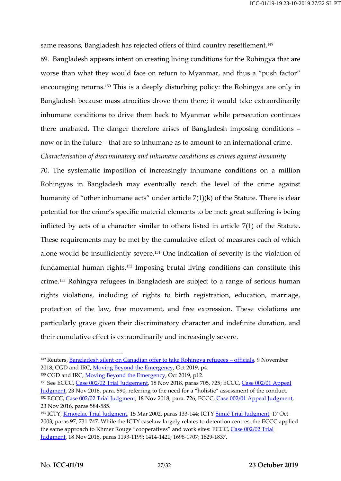same reasons, Bangladesh has rejected offers of third country resettlement.<sup>149</sup>

69. Bangladesh appears intent on creating living conditions for the Rohingya that are worse than what they would face on return to Myanmar, and thus a "push factor" encouraging returns.<sup>150</sup> This is a deeply disturbing policy: the Rohingya are only in Bangladesh because mass atrocities drove them there; it would take extraordinarily inhumane conditions to drive them back to Myanmar while persecution continues there unabated. The danger therefore arises of Bangladesh imposing conditions – now or in the future – that are so inhumane as to amount to an international crime.

*Characterisation of discriminatory and inhumane conditions as crimes against humanity*

70. The systematic imposition of increasingly inhumane conditions on a million Rohingyas in Bangladesh may eventually reach the level of the crime against humanity of "other inhumane acts" under article 7(1)(k) of the Statute. There is clear potential for the crime's specific material elements to be met: great suffering is being inflicted by acts of a character similar to others listed in article 7(1) of the Statute. These requirements may be met by the cumulative effect of measures each of which alone would be insufficiently severe.<sup>151</sup> One indication of severity is the violation of fundamental human rights.<sup>152</sup> Imposing brutal living conditions can constitute this crime.<sup>153</sup> Rohingya refugees in Bangladesh are subject to a range of serious human rights violations, including of rights to birth registration, education, marriage, protection of the law, free movement, and free expression. These violations are particularly grave given their discriminatory character and indefinite duration, and their cumulative effect is extraordinarily and increasingly severe.

<sup>&</sup>lt;sup>149</sup> Reuters, [Bangladesh silent on Canadian offer to take Rohingya refugees](https://www.reuters.com/article/us-bangladesh-rohingya-refugees/exclusive-bangladesh-silent-on-canadian-offer-to-take-rohingya-refugees-officials-idUSKCN1NE009) - officials, 9 November 2018; CGD and IRC, [Moving Beyond the Emergency,](https://www.cgdev.org/sites/default/files/moving-beyond-emergency-whole-society-approach-refugee-response-bangladesh.pdf) Oct 2019, p4.

<sup>&</sup>lt;sup>150</sup> CGD and IRC, [Moving Beyond the Emergency,](https://www.cgdev.org/sites/default/files/moving-beyond-emergency-whole-society-approach-refugee-response-bangladesh.pdf) Oct 2019, p12.

<sup>&</sup>lt;sup>151</sup> See ECCC, [Case 002/02 Trial Judgement,](https://drive.google.com/file/d/1LA9ttO7C4fgC1aSb1cAoe9ofzwDuERx5/view?ts=5c9c9bb0) 18 Nov 2018, paras 705, 725; ECCC, Case 002/01 Appeal [Judgment,](https://www.eccc.gov.kh/sites/default/files/documents/courtdoc/%5Bdate-in-tz%5D/F36_EN_0.pdf) 23 Nov 2016, para. 590, referring to the need for a "holistic" assessment of the conduct. <sup>152</sup> ECCC, [Case 002/02](https://drive.google.com/file/d/1LA9ttO7C4fgC1aSb1cAoe9ofzwDuERx5/view?ts=5c9c9bb0) Trial Judgment, 18 Nov 2018, para. 726; ECCC, [Case 002/01 Appeal Judgment,](https://www.eccc.gov.kh/sites/default/files/documents/courtdoc/%5Bdate-in-tz%5D/F36_EN_0.pdf) 23 Nov 2016, paras 584-585.

<sup>153</sup> ICTY, [Krnojelac Trial Judgment,](https://www.icty.org/x/cases/krnojelac/tjug/en/krn-tj020315e.pdf) 15 Mar 2002, paras 133-144; ICTY Simić [Trial Judgment,](https://www.icty.org/x/cases/simic/tjug/en/sim-tj031017e.pdf) 17 Oct 2003, paras 97, 731-747. While the ICTY caselaw largely relates to detention centres, the ECCC applied the same approach to Khmer Rouge "cooperatives" and work sites: ECCC, Case 002/02 Trial [Judgment,](https://drive.google.com/file/d/1LA9ttO7C4fgC1aSb1cAoe9ofzwDuERx5/view?ts=5c9c9bb0) 18 Nov 2018, paras 1193-1199; 1414-1421; 1698-1707; 1829-1837.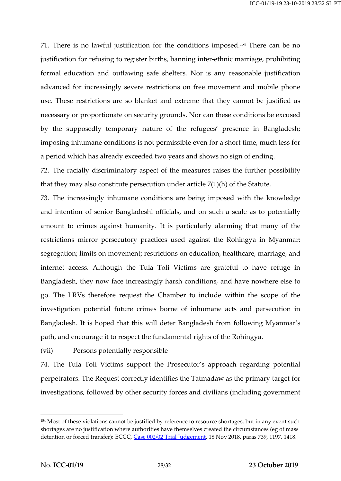71. There is no lawful justification for the conditions imposed.<sup>154</sup> There can be no justification for refusing to register births, banning inter-ethnic marriage, prohibiting formal education and outlawing safe shelters. Nor is any reasonable justification advanced for increasingly severe restrictions on free movement and mobile phone use. These restrictions are so blanket and extreme that they cannot be justified as necessary or proportionate on security grounds. Nor can these conditions be excused by the supposedly temporary nature of the refugees' presence in Bangladesh; imposing inhumane conditions is not permissible even for a short time, much less for a period which has already exceeded two years and shows no sign of ending.

72. The racially discriminatory aspect of the measures raises the further possibility that they may also constitute persecution under article 7(1)(h) of the Statute.

73. The increasingly inhumane conditions are being imposed with the knowledge and intention of senior Bangladeshi officials, and on such a scale as to potentially amount to crimes against humanity. It is particularly alarming that many of the restrictions mirror persecutory practices used against the Rohingya in Myanmar: segregation; limits on movement; restrictions on education, healthcare, marriage, and internet access. Although the Tula Toli Victims are grateful to have refuge in Bangladesh, they now face increasingly harsh conditions, and have nowhere else to go. The LRVs therefore request the Chamber to include within the scope of the investigation potential future crimes borne of inhumane acts and persecution in Bangladesh. It is hoped that this will deter Bangladesh from following Myanmar's path, and encourage it to respect the fundamental rights of the Rohingya.

### (vii) Persons potentially responsible

74. The Tula Toli Victims support the Prosecutor's approach regarding potential perpetrators. The Request correctly identifies the Tatmadaw as the primary target for investigations, followed by other security forces and civilians (including government

<sup>&</sup>lt;sup>154</sup> Most of these violations cannot be justified by reference to resource shortages, but in any event such shortages are no justification where authorities have themselves created the circumstances (eg of mass detention or forced transfer): ECCC, [Case 002/02 Trial Judgement,](https://drive.google.com/file/d/1LA9ttO7C4fgC1aSb1cAoe9ofzwDuERx5/view?ts=5c9c9bb0) 18 Nov 2018, paras 739, 1197, 1418.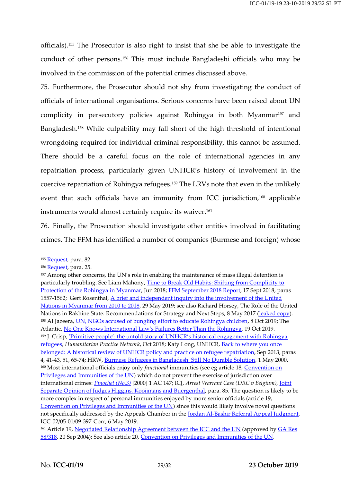officials).<sup>155</sup> The Prosecutor is also right to insist that she be able to investigate the conduct of other persons.<sup>156</sup> This must include Bangladeshi officials who may be involved in the commission of the potential crimes discussed above.

75. Furthermore, the Prosecutor should not shy from investigating the conduct of officials of international organisations. Serious concerns have been raised about UN complicity in persecutory policies against Rohingya in both Myanmar<sup>157</sup> and Bangladesh.<sup>158</sup> While culpability may fall short of the high threshold of intentional wrongdoing required for individual criminal responsibility, this cannot be assumed. There should be a careful focus on the role of international agencies in any repatriation process, particularly given UNHCR's history of involvement in the coercive repatriation of Rohingya refugees.<sup>159</sup> The LRVs note that even in the unlikely event that such officials have an immunity from ICC jurisdiction,<sup>160</sup> applicable instruments would almost certainly require its waiver. 161

76. Finally, the Prosecution should investigate other entities involved in facilitating crimes. The FFM has identified a number of companies (Burmese and foreign) whose

<sup>155</sup> [Request,](https://www.legal-tools.org/doc/8a47a5/pdf/) para. 82.

<sup>&</sup>lt;sup>156</sup> [Request,](https://www.legal-tools.org/doc/8a47a5/pdf/) para. 25.

<sup>&</sup>lt;sup>157</sup> Among other concerns, the UN's role in enabling the maintenance of mass illegal detention is particularly troubling. See Liam Mahony, Time to Break Old Habits: Shifting from Complicity to [Protection of the Rohingya](http://www.fieldviewsolutions.org/fv-publications/Time_to_break_old_habits.pdf) in Myanmar, Jun 2018; [FFM September 2018 Report,](https://www.ohchr.org/Documents/HRBodies/HRCouncil/FFM-Myanmar/A_HRC_39_CRP.2.pdf) 17 Sept 2018, paras 1557-1562; Gert Rosenthal, [A brief and independent inquiry into the involvement of the United](https://www.un.org/sg/sites/www.un.org.sg/files/atoms/files/Myanmar%20Report%20-%20May%202019.pdf)  [Nations in Myanmar from 2010 to 2018,](https://www.un.org/sg/sites/www.un.org.sg/files/atoms/files/Myanmar%20Report%20-%20May%202019.pdf) 29 May 2019; see also Richard Horsey, The Role of the United Nations in Rakhine State: Recommendations for Strategy and Next Steps, 8 May 2017 [\(leaked copy\)](https://www.scribd.com/document/361488892/Internal-Report-on-the-Role-of-the-United-Nations-in-Rakhine-State). 158 Al Jazeera, *UN, NGOs accused of bungling effort to educate Rohingya children*, 8 Oct 2019; The Atlantic, [No One Knows International Law's Failures Better Than the Rohingya](https://www.theatlantic.com/international/archive/2019/10/rohingya-bangladesh-myanmar-international-law/600169/), 19 Oct 2019. 159 J. Crisp, <u>['Primitive people': the untold story of UNHCR's historical engagement with Rohingya](https://odihpn.org/magazine/primitive-people-the-untold-story-of-unhcrs-historical-engagement-with-rohingya-refugees/)</u> [refugees,](https://odihpn.org/magazine/primitive-people-the-untold-story-of-unhcrs-historical-engagement-with-rohingya-refugees/) *Humanitarian Practice Network*, Oct 2018; Katy Long, UNHCR, [Back to where you once](https://www.unhcr.org/uk/research/evalreports/5225d5de9/once-belonged-historical-review-unhcr-policy-practice-refugee-repatriation.html)  [belonged: A historical review of UNHCR policy and practice on refugee repatriation,](https://www.unhcr.org/uk/research/evalreports/5225d5de9/once-belonged-historical-review-unhcr-policy-practice-refugee-repatriation.html) Sep 2013, paras 4, 41-43, 51, 65-74; HRW[, Burmese Refugees in Bangladesh: Still No Durable Solution,](https://www.hrw.org/report/2000/05/01/burmese-refugees-bangladesh/still-no-durable-solution) 1 May 2000. <sup>160</sup> Most international officials enjoy only *functional* immunities (see eg article 18, Convention on [Privileges and Immunities of the UN\)](https://www.legal-tools.org/doc/f68109/pdf/) which do not prevent the exercise of jurisdiction over international crimes: *[Pinochet](https://www.iclr.co.uk/wp-content/uploads/media/vote/1996-2014/ac2000-1-147.pdf) (No.3)* [2000] 1 AC 147; ICJ, *Arrest Warrant Case (DRC v Belgium),* [Joint](https://www.icj-cij.org/files/case-related/121/121-20020214-JUD-01-05-EN.pdf)  [Separate Opinion of Judges Higgins, Kooijmans and Buergenthal,](https://www.icj-cij.org/files/case-related/121/121-20020214-JUD-01-05-EN.pdf) para. 85. The question is likely to be more complex in respect of personal immunities enjoyed by more senior officials (article 19, [Convention on Privileges and Immunities of the UN\)](https://www.legal-tools.org/doc/f68109/pdf/) since this would likely involve novel questions not specifically addressed by the Appeals Chamber in the **Jordan Al-Bashir Referral Appeal Judgment**, ICC-02/05-01/09-397-Corr, 6 May 2019.

<sup>&</sup>lt;sup>161</sup> Article 19, [Negotiated Relationship Agreement between the ICC](http://legal.un.org/ola/media/UN-ICC_Cooperation/UN-ICC%20Relationship%20Agreement.pdf) and the UN (approved by GA Res [58/318,](https://www.un.org/ga/search/view_doc.asp?symbol=A/RES/58/318) 20 Sep 2004); See also article 20[, Convention on Privileges and Immunities of the UN.](https://www.legal-tools.org/doc/f68109/pdf/)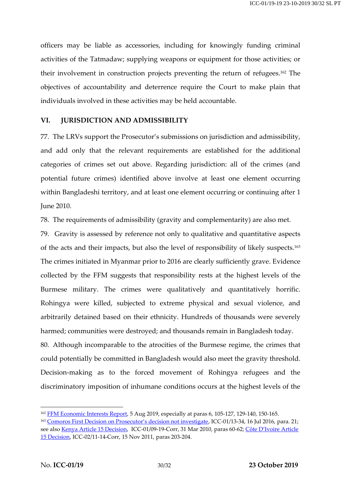officers may be liable as accessories, including for knowingly funding criminal activities of the Tatmadaw; supplying weapons or equipment for those activities; or their involvement in construction projects preventing the return of refugees. <sup>162</sup> The objectives of accountability and deterrence require the Court to make plain that individuals involved in these activities may be held accountable.

### **VI. JURISDICTION AND ADMISSIBILITY**

77. The LRVs support the Prosecutor's submissions on jurisdiction and admissibility, and add only that the relevant requirements are established for the additional categories of crimes set out above. Regarding jurisdiction: all of the crimes (and potential future crimes) identified above involve at least one element occurring within Bangladeshi territory, and at least one element occurring or continuing after 1 June 2010.

78. The requirements of admissibility (gravity and complementarity) are also met.

79. Gravity is assessed by reference not only to qualitative and quantitative aspects of the acts and their impacts, but also the level of responsibility of likely suspects.<sup>163</sup> The crimes initiated in Myanmar prior to 2016 are clearly sufficiently grave. Evidence collected by the FFM suggests that responsibility rests at the highest levels of the Burmese military. The crimes were qualitatively and quantitatively horrific. Rohingya were killed, subjected to extreme physical and sexual violence, and arbitrarily detained based on their ethnicity. Hundreds of thousands were severely harmed; communities were destroyed; and thousands remain in Bangladesh today.

80. Although incomparable to the atrocities of the Burmese regime, the crimes that could potentially be committed in Bangladesh would also meet the gravity threshold. Decision-making as to the forced movement of Rohingya refugees and the discriminatory imposition of inhumane conditions occurs at the highest levels of the

<sup>&</sup>lt;sup>162</sup> [FFM Economic Interests](https://www.ohchr.org/Documents/HRBodies/HRCouncil/FFM-Myanmar/EconomicInterestsMyanmarMilitary/A_HRC_42_CRP_3.pdf) Report, 5 Aug 2019, especially at paras 6, 105-127, 129-140, 150-165.

<sup>&</sup>lt;sup>163</sup> [Comoros First Decision on Prosecutor's decision not investigate](https://www.legal-tools.org/doc/2f876c/pdf/), ICC-01/13-34, 16 Jul 2016, para. 21; see also [Kenya Article 15 Decision,](https://www.legal-tools.org/doc/f0caaf/pdf/) ICC-01/09-19-Corr, 31 Mar 2010, paras 60-62; [Côte D'Ivoire](https://www.legal-tools.org/doc/e0c0eb/pdf/) Article 15 [Decision,](https://www.legal-tools.org/doc/e0c0eb/pdf/) ICC-02/11-14-Corr, 15 Nov 2011, paras 203-204.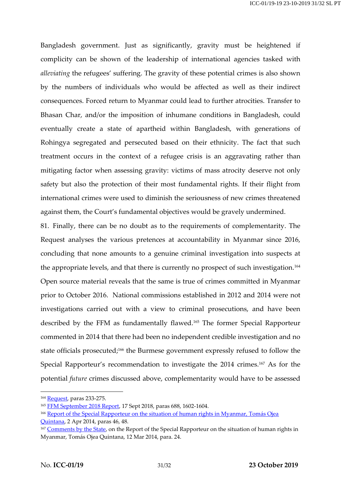Bangladesh government. Just as significantly, gravity must be heightened if complicity can be shown of the leadership of international agencies tasked with *alleviating* the refugees' suffering. The gravity of these potential crimes is also shown by the numbers of individuals who would be affected as well as their indirect consequences. Forced return to Myanmar could lead to further atrocities. Transfer to Bhasan Char, and/or the imposition of inhumane conditions in Bangladesh, could eventually create a state of apartheid within Bangladesh, with generations of Rohingya segregated and persecuted based on their ethnicity. The fact that such treatment occurs in the context of a refugee crisis is an aggravating rather than mitigating factor when assessing gravity: victims of mass atrocity deserve not only safety but also the protection of their most fundamental rights. If their flight from international crimes were used to diminish the seriousness of new crimes threatened against them, the Court's fundamental objectives would be gravely undermined.

81. Finally, there can be no doubt as to the requirements of complementarity. The Request analyses the various pretences at accountability in Myanmar since 2016, concluding that none amounts to a genuine criminal investigation into suspects at the appropriate levels, and that there is currently no prospect of such investigation.<sup>164</sup> Open source material reveals that the same is true of crimes committed in Myanmar prior to October 2016. National commissions established in 2012 and 2014 were not investigations carried out with a view to criminal prosecutions, and have been described by the FFM as fundamentally flawed.<sup>165</sup> The former Special Rapporteur commented in 2014 that there had been no independent credible investigation and no state officials prosecuted; <sup>166</sup> the Burmese government expressly refused to follow the Special Rapporteur's recommendation to investigate the 2014 crimes.<sup>167</sup> As for the potential *future* crimes discussed above, complementarity would have to be assessed

 $\overline{a}$ 

[Quintana,](https://documents-dds-ny.un.org/doc/UNDOC/GEN/G14/129/94/PDF/G1412994.pdf?OpenElement) 2 Apr 2014, paras 46, 48.

<sup>164</sup> [Request,](https://www.legal-tools.org/doc/8a47a5/pdf/) paras 233-275.

<sup>&</sup>lt;sup>165</sup> [FFM September 2018 Report,](https://www.ohchr.org/Documents/HRBodies/HRCouncil/FFM-Myanmar/A_HRC_39_CRP.2.pdf) 17 Sept 2018, paras 688, 1602-1604.

<sup>&</sup>lt;sup>166</sup> Report of the Special Rapporteur on the situation of human rights in Myanmar, Tomás Ojea

<sup>&</sup>lt;sup>167</sup> [Comments by the State,](https://documents-dds-ny.un.org/doc/UNDOC/GEN/G14/119/69/PDF/G1411969.pdf?OpenElement) on the Report of the Special Rapporteur on the situation of human rights in Myanmar, Tomás Ojea Quintana, 12 Mar 2014, para. 24.